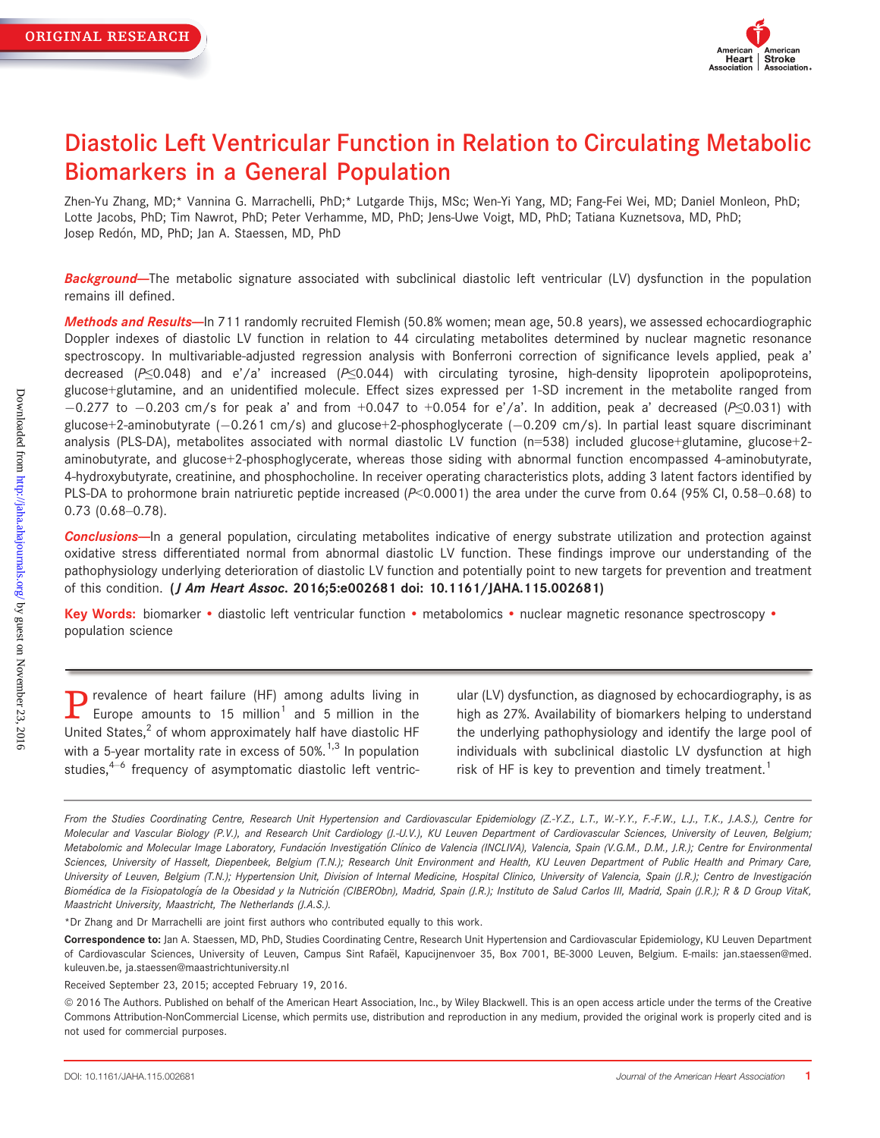

# Diastolic Left Ventricular Function in Relation to Circulating Metabolic Biomarkers in a General Population

Zhen-Yu Zhang, MD;\* Vannina G. Marrachelli, PhD;\* Lutgarde Thijs, MSc; Wen-Yi Yang, MD; Fang-Fei Wei, MD; Daniel Monleon, PhD; Lotte Jacobs, PhD; Tim Nawrot, PhD; Peter Verhamme, MD, PhD; Jens-Uwe Voigt, MD, PhD; Tatiana Kuznetsova, MD, PhD; Josep Redón, MD, PhD; Jan A. Staessen, MD, PhD

Background-The metabolic signature associated with subclinical diastolic left ventricular (LV) dysfunction in the population remains ill defined.

Methods and Results--In 711 randomly recruited Flemish (50.8% women; mean age, 50.8 years), we assessed echocardiographic Doppler indexes of diastolic LV function in relation to 44 circulating metabolites determined by nuclear magnetic resonance spectroscopy. In multivariable-adjusted regression analysis with Bonferroni correction of significance levels applied, peak a' decreased ( $P \le 0.048$ ) and e'/a' increased ( $P \le 0.044$ ) with circulating tyrosine, high-density lipoprotein apolipoproteins, glucose+glutamine, and an unidentified molecule. Effect sizes expressed per 1-SD increment in the metabolite ranged from  $-0.277$  to  $-0.203$  cm/s for peak a' and from +0.047 to +0.054 for e'/a'. In addition, peak a' decreased (P≤0.031) with glucose+2-aminobutyrate  $(-0.261 \text{ cm/s})$  and glucose+2-phosphoglycerate  $(-0.209 \text{ cm/s})$ . In partial least square discriminant analysis (PLS-DA), metabolites associated with normal diastolic LV function (n=538) included glucose+glutamine, glucose+2 aminobutyrate, and glucose+2-phosphoglycerate, whereas those siding with abnormal function encompassed 4-aminobutyrate, 4-hydroxybutyrate, creatinine, and phosphocholine. In receiver operating characteristics plots, adding 3 latent factors identified by PLS-DA to prohormone brain natriuretic peptide increased  $(P< 0.0001)$  the area under the curve from 0.64 (95% CI, 0.58–0.68) to 0.73 (0.68–0.78).

Conclusions-In a general population, circulating metabolites indicative of energy substrate utilization and protection against oxidative stress differentiated normal from abnormal diastolic LV function. These findings improve our understanding of the pathophysiology underlying deterioration of diastolic LV function and potentially point to new targets for prevention and treatment of this condition. (J Am Heart Assoc. 2016;5:e002681 doi: [10.1161/JAHA.115.002681](info:doi/10.1161/JAHA.115.002681))

Key Words: biomarker • diastolic left ventricular function • metabolomics • nuclear magnetic resonance spectroscopy • population science

**P** revalence of heart failure (HF) among adults living in<br>Europe amounts to 15 million<sup>1</sup> and 5 million in the United States, $<sup>2</sup>$  of whom approximately half have diastolic HF</sup> with a 5-year mortality rate in excess of  $50\%$ .<sup>1,3</sup> In population studies, $4-6$  frequency of asymptomatic diastolic left ventric-

ular (LV) dysfunction, as diagnosed by echocardiography, is as high as 27%. Availability of biomarkers helping to understand the underlying pathophysiology and identify the large pool of individuals with subclinical diastolic LV dysfunction at high risk of HF is key to prevention and timely treatment.<sup>1</sup>

\*Dr Zhang and Dr Marrachelli are joint first authors who contributed equally to this work.

From the Studies Coordinating Centre, Research Unit Hypertension and Cardiovascular Epidemiology (Z.-Y.Z., L.T., W.-Y.Y., F.-F.W., L.J., T.K., J.A.S.), Centre for Molecular and Vascular Biology (P.V.), and Research Unit Cardiology (J.-U.V.), KU Leuven Department of Cardiovascular Sciences, University of Leuven, Belgium; Metabolomic and Molecular Image Laboratory, Fundación Investigatión Clínico de Valencia (INCLIVA), Valencia, Spain (V.G.M., D.M., J.R.); Centre for Environmental Sciences, University of Hasselt, Diepenbeek, Belgium (T.N.); Research Unit Environment and Health, KU Leuven Department of Public Health and Primary Care, University of Leuven, Belgium (T.N.); Hypertension Unit, Division of Internal Medicine, Hospital Clinico, University of Valencia, Spain (J.R.); Centro de Investigación Biomédica de la Fisiopatología de la Obesidad y la Nutrición (CIBERObn), Madrid, Spain (J.R.); Instituto de Salud Carlos III, Madrid, Spain (J.R.); R & D Group VitaK, Maastricht University, Maastricht, The Netherlands (J.A.S.).

Correspondence to: Jan A. Staessen, MD, PhD, Studies Coordinating Centre, Research Unit Hypertension and Cardiovascular Epidemiology, KU Leuven Department of Cardiovascular Sciences, University of Leuven, Campus Sint Rafaël, Kapucijnenvoer 35, Box 7001, BE-3000 Leuven, Belgium. E-mails: jan.staessen@med. kuleuven.be, ja.staessen@maastrichtuniversity.nl

Received September 23, 2015; accepted February 19, 2016.

ª 2016 The Authors. Published on behalf of the American Heart Association, Inc., by Wiley Blackwell. This is an open access article under the terms of the [Creative](http://creativecommons.org/licenses/by-nc/4.0/) [Commons Attribution-NonCommercial](http://creativecommons.org/licenses/by-nc/4.0/) License, which permits use, distribution and reproduction in any medium, provided the original work is properly cited and is not used for commercial purposes.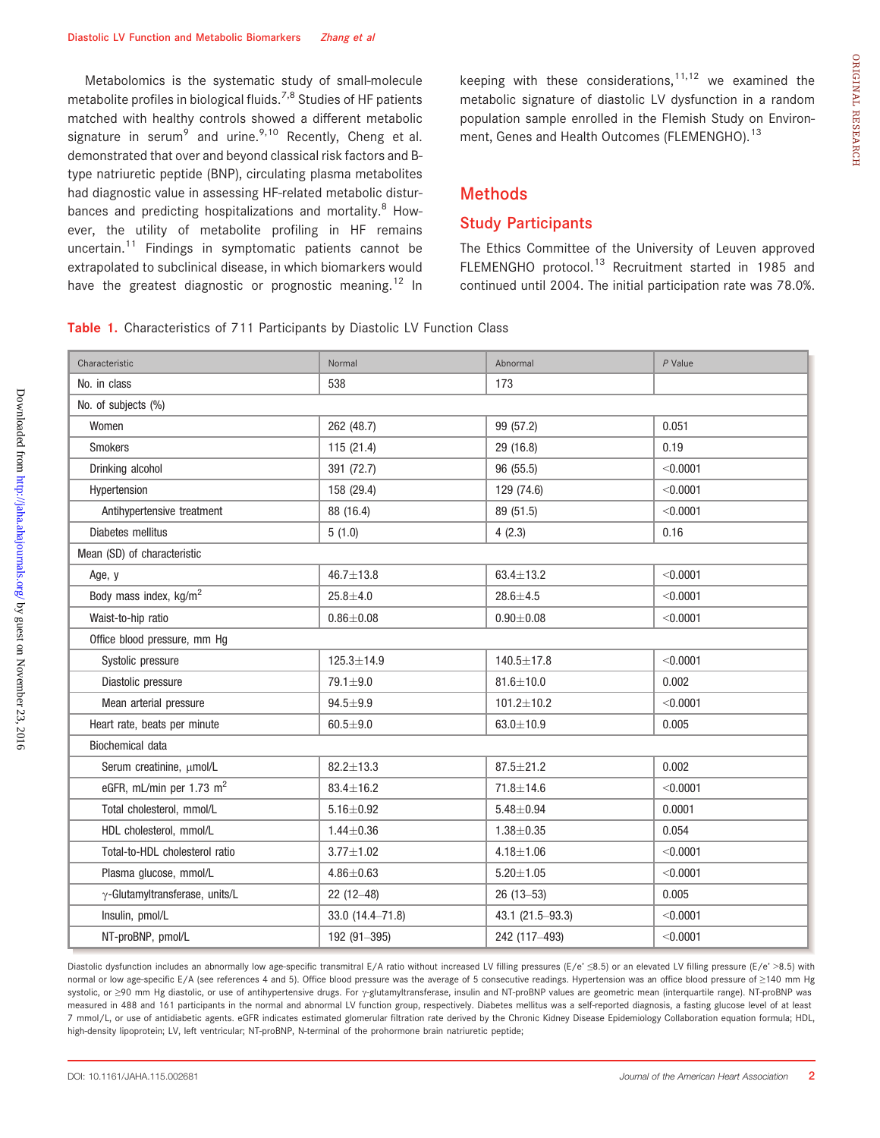Metabolomics is the systematic study of small-molecule metabolite profiles in biological fluids.7,8 Studies of HF patients matched with healthy controls showed a different metabolic signature in serum<sup>9</sup> and urine.<sup>9,10</sup> Recently, Cheng et al. demonstrated that over and beyond classical risk factors and Btype natriuretic peptide (BNP), circulating plasma metabolites had diagnostic value in assessing HF-related metabolic disturbances and predicting hospitalizations and mortality. $8$  However, the utility of metabolite profiling in HF remains uncertain.<sup>11</sup> Findings in symptomatic patients cannot be extrapolated to subclinical disease, in which biomarkers would have the greatest diagnostic or prognostic meaning.<sup>12</sup> In

keeping with these considerations, $11,12$  we examined the metabolic signature of diastolic LV dysfunction in a random population sample enrolled in the Flemish Study on Environment, Genes and Health Outcomes (FLEMENGHO).<sup>13</sup>

## Methods

## Study Participants

The Ethics Committee of the University of Leuven approved FLEMENGHO protocol.<sup>13</sup> Recruitment started in 1985 and continued until 2004. The initial participation rate was 78.0%.

Table 1. Characteristics of 711 Participants by Diastolic LV Function Class

| Characteristic                         | Normal           | Abnormal         | $P$ Value |  |  |  |  |
|----------------------------------------|------------------|------------------|-----------|--|--|--|--|
| No. in class                           | 538              | 173              |           |  |  |  |  |
| No. of subjects (%)                    |                  |                  |           |  |  |  |  |
| Women                                  | 262 (48.7)       | 99 (57.2)        | 0.051     |  |  |  |  |
| <b>Smokers</b>                         | 115 (21.4)       | 29 (16.8)        | 0.19      |  |  |  |  |
| Drinking alcohol                       | 391 (72.7)       | 96 (55.5)        | < 0.0001  |  |  |  |  |
| Hypertension                           | 158 (29.4)       | 129 (74.6)       | < 0.0001  |  |  |  |  |
| Antihypertensive treatment             | 88 (16.4)        | 89 (51.5)        | < 0.0001  |  |  |  |  |
| Diabetes mellitus                      | 5(1.0)           | 4(2.3)           | 0.16      |  |  |  |  |
| Mean (SD) of characteristic            |                  |                  |           |  |  |  |  |
| Age, y                                 | $46.7 \pm 13.8$  | $63.4 \pm 13.2$  | < 0.0001  |  |  |  |  |
| Body mass index, kg/m <sup>2</sup>     | $25.8 + 4.0$     | $28.6 + 4.5$     | < 0.0001  |  |  |  |  |
| Waist-to-hip ratio                     | $0.86 + 0.08$    | $0.90 + 0.08$    | < 0.0001  |  |  |  |  |
| Office blood pressure, mm Hg           |                  |                  |           |  |  |  |  |
| Systolic pressure                      | $125.3 \pm 14.9$ | 140.5±17.8       | < 0.0001  |  |  |  |  |
| Diastolic pressure                     | 79.1±9.0         | $81.6 \pm 10.0$  | 0.002     |  |  |  |  |
| Mean arterial pressure                 | $94.5 + 9.9$     | $101.2 \pm 10.2$ | < 0.0001  |  |  |  |  |
| Heart rate, beats per minute           | $60.5 + 9.0$     | $63.0 \pm 10.9$  | 0.005     |  |  |  |  |
| Biochemical data                       |                  |                  |           |  |  |  |  |
| Serum creatinine, µmol/L               | $82.2 \pm 13.3$  | $87.5 \pm 21.2$  | 0.002     |  |  |  |  |
| eGFR, mL/min per 1.73 m <sup>2</sup>   | $83.4 \pm 16.2$  | $71.8 \pm 14.6$  | < 0.0001  |  |  |  |  |
| Total cholesterol, mmol/L              | $5.16 \pm 0.92$  | $5.48 \pm 0.94$  | 0.0001    |  |  |  |  |
| HDL cholesterol, mmol/L                | $1.44 \pm 0.36$  | $1.38 + 0.35$    | 0.054     |  |  |  |  |
| Total-to-HDL cholesterol ratio         | $3.77 + 1.02$    | $4.18 + 1.06$    | < 0.0001  |  |  |  |  |
| Plasma glucose, mmol/L                 | $4.86 + 0.63$    | $5.20 \pm 1.05$  | < 0.0001  |  |  |  |  |
| $\gamma$ -Glutamyltransferase, units/L | $22(12-48)$      | $26(13 - 53)$    | 0.005     |  |  |  |  |
| Insulin, pmol/L                        | 33.0 (14.4-71.8) | 43.1 (21.5-93.3) | < 0.0001  |  |  |  |  |
| NT-proBNP, pmol/L                      | 192 (91-395)     | 242 (117-493)    | < 0.0001  |  |  |  |  |
|                                        |                  |                  |           |  |  |  |  |

Diastolic dysfunction includes an abnormally low age-specific transmitral E/A ratio without increased LV filling pressures (E/e' ≤8.5) or an elevated LV filling pressure (E/e' >8.5) with normal or low age-specific E/A (see references 4 and 5). Office blood pressure was the average of 5 consecutive readings. Hypertension was an office blood pressure of >140 mm Hg systolic, or ≥90 mm Hg diastolic, or use of antihypertensive drugs. For y-glutamyltransferase, insulin and NT-proBNP values are geometric mean (interquartile range). NT-proBNP was measured in 488 and 161 participants in the normal and abnormal LV function group, respectively. Diabetes mellitus was a self-reported diagnosis, a fasting glucose level of at least 7 mmol/L, or use of antidiabetic agents. eGFR indicates estimated glomerular filtration rate derived by the Chronic Kidney Disease Epidemiology Collaboration equation formula; HDL, high-density lipoprotein; LV, left ventricular; NT-proBNP, N-terminal of the prohormone brain natriuretic peptide;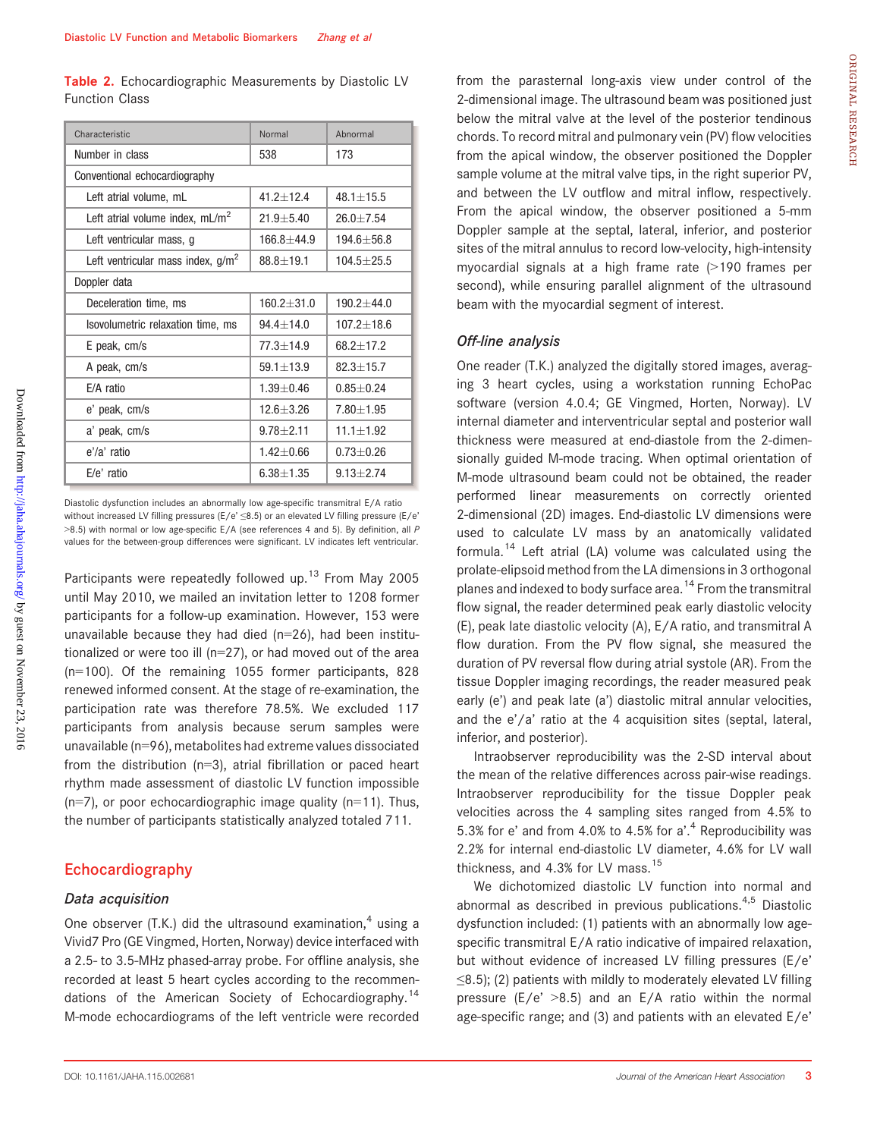Table 2. Echocardiographic Measurements by Diastolic LV Function Class

| Characteristic                       | Normal         | Abnormal         |
|--------------------------------------|----------------|------------------|
| Number in class                      | 538            | 173              |
| Conventional echocardiography        |                |                  |
| Left atrial volume, mL               | $41.2 + 12.4$  | $48.1 + 15.5$    |
| Left atrial volume index, $mL/m^2$   | $21.9 + 5.40$  | $26.0 + 7.54$    |
| Left ventricular mass, g             | $166.8 + 44.9$ | $194.6 + 56.8$   |
| Left ventricular mass index, $g/m^2$ | $88.8 + 19.1$  | $104.5 \pm 25.5$ |
| Doppler data                         |                |                  |
| Deceleration time, ms                | $160.2 + 31.0$ | $190.2 + 44.0$   |
| Isovolumetric relaxation time, ms    | $94.4 + 14.0$  | $107.2 + 18.6$   |
| E peak, cm/s                         | $77.3 + 14.9$  | $68.2 + 17.2$    |
| A peak, cm/s                         | $59.1 + 13.9$  | $82.3 + 15.7$    |
| F/A ratio                            | $1.39 + 0.46$  | $0.85 + 0.24$    |
| e' peak, cm/s                        | $12.6 + 3.26$  | $7.80 + 1.95$    |
| a' peak, cm/s                        | $9.78 + 2.11$  | $11.1 + 1.92$    |
| e'/a' ratio                          | $1.42 + 0.66$  | $0.73 + 0.26$    |
| $E/e'$ ratio                         | $6.38 + 1.35$  | $9.13 + 2.74$    |

Diastolic dysfunction includes an abnormally low age-specific transmitral E/A ratio without increased LV filling pressures (E/e' ≤8.5) or an elevated LV filling pressure (E/e'  $>8.5$ ) with normal or low age-specific E/A (see references 4 and 5). By definition, all P values for the between-group differences were significant. LV indicates left ventricular.

Participants were repeatedly followed up.<sup>13</sup> From May 2005 until May 2010, we mailed an invitation letter to 1208 former participants for a follow-up examination. However, 153 were unavailable because they had died (n=26), had been institutionalized or were too ill (n=27), or had moved out of the area (n=100). Of the remaining 1055 former participants, 828 renewed informed consent. At the stage of re-examination, the participation rate was therefore 78.5%. We excluded 117 participants from analysis because serum samples were unavailable (n=96), metabolites had extreme values dissociated from the distribution (n=3), atrial fibrillation or paced heart rhythm made assessment of diastolic LV function impossible  $(n=7)$ , or poor echocardiographic image quality  $(n=11)$ . Thus, the number of participants statistically analyzed totaled 711.

## Echocardiography

## Data acquisition

One observer (T.K.) did the ultrasound examination, $4$  using a Vivid7 Pro (GE Vingmed, Horten, Norway) device interfaced with a 2.5- to 3.5-MHz phased-array probe. For offline analysis, she recorded at least 5 heart cycles according to the recommendations of the American Society of Echocardiography.<sup>14</sup> M-mode echocardiograms of the left ventricle were recorded from the parasternal long-axis view under control of the 2-dimensional image. The ultrasound beam was positioned just below the mitral valve at the level of the posterior tendinous chords. To record mitral and pulmonary vein (PV) flow velocities from the apical window, the observer positioned the Doppler sample volume at the mitral valve tips, in the right superior PV, and between the LV outflow and mitral inflow, respectively. From the apical window, the observer positioned a 5-mm Doppler sample at the septal, lateral, inferior, and posterior sites of the mitral annulus to record low-velocity, high-intensity myocardial signals at a high frame rate (>190 frames per second), while ensuring parallel alignment of the ultrasound beam with the myocardial segment of interest.

#### Off-line analysis

One reader (T.K.) analyzed the digitally stored images, averaging 3 heart cycles, using a workstation running EchoPac software (version 4.0.4; GE Vingmed, Horten, Norway). LV internal diameter and interventricular septal and posterior wall thickness were measured at end-diastole from the 2-dimensionally guided M-mode tracing. When optimal orientation of M-mode ultrasound beam could not be obtained, the reader performed linear measurements on correctly oriented 2-dimensional (2D) images. End-diastolic LV dimensions were used to calculate LV mass by an anatomically validated formula.<sup>14</sup> Left atrial (LA) volume was calculated using the prolate-elipsoid method from the LA dimensions in 3 orthogonal planes and indexed to body surface area.<sup>14</sup> From the transmitral flow signal, the reader determined peak early diastolic velocity (E), peak late diastolic velocity (A), E/A ratio, and transmitral A flow duration. From the PV flow signal, she measured the duration of PV reversal flow during atrial systole (AR). From the tissue Doppler imaging recordings, the reader measured peak early (e') and peak late (a') diastolic mitral annular velocities, and the e'/a' ratio at the 4 acquisition sites (septal, lateral, inferior, and posterior).

Intraobserver reproducibility was the 2-SD interval about the mean of the relative differences across pair-wise readings. Intraobserver reproducibility for the tissue Doppler peak velocities across the 4 sampling sites ranged from 4.5% to 5.3% for e' and from 4.0% to 4.5% for a'. <sup>4</sup> Reproducibility was 2.2% for internal end-diastolic LV diameter, 4.6% for LV wall thickness, and 4.3% for LV mass.<sup>15</sup>

We dichotomized diastolic LV function into normal and abnormal as described in previous publications.<sup>4,5</sup> Diastolic dysfunction included: (1) patients with an abnormally low agespecific transmitral E/A ratio indicative of impaired relaxation, but without evidence of increased LV filling pressures (E/e'  $\leq$ 8.5); (2) patients with mildly to moderately elevated LV filling pressure ( $E/e'$  >8.5) and an  $E/A$  ratio within the normal age-specific range; and (3) and patients with an elevated E/e'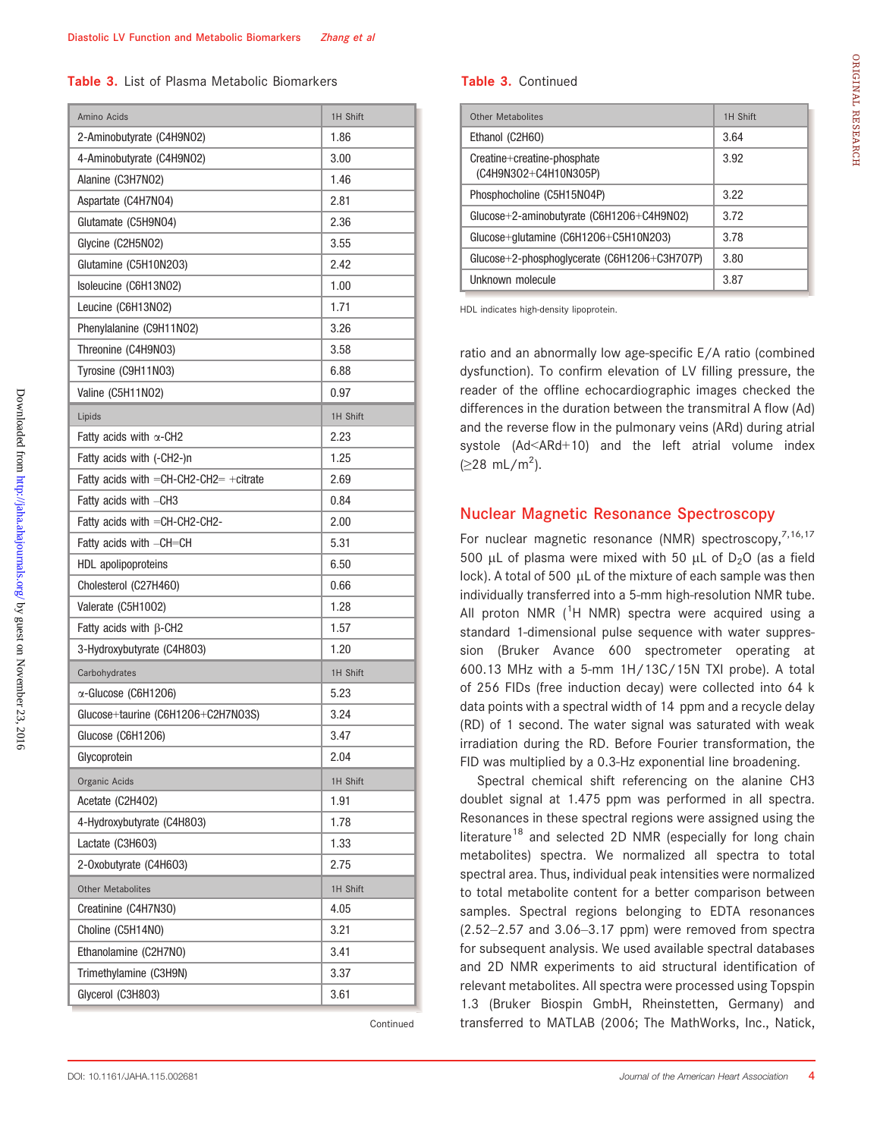Table 3. List of Plasma Metabolic Biomarkers

| Amino Acids                                  | 1H Shift |
|----------------------------------------------|----------|
| 2-Aminobutyrate (C4H9N02)                    | 1.86     |
| 4-Aminobutyrate (C4H9NO2)                    | 3.00     |
| Alanine (C3H7N02)                            | 1.46     |
| Aspartate (C4H7N04)                          | 2.81     |
| Glutamate (C5H9N04)                          | 2.36     |
| Glycine (C2H5NO2)                            | 3.55     |
| Glutamine (C5H10N2O3)                        | 2.42     |
| Isoleucine (C6H13N02)                        | 1.00     |
| Leucine (C6H13NO2)                           | 1.71     |
| Phenylalanine (C9H11N02)                     | 3.26     |
| Threonine (C4H9N03)                          | 3.58     |
| Tyrosine (C9H11N03)                          | 6.88     |
| Valine (C5H11N02)                            | 0.97     |
| Lipids                                       | 1H Shift |
| Fatty acids with $\alpha$ -CH2               | 2.23     |
| Fatty acids with (-CH2-)n                    | 1.25     |
| Fatty acids with $=$ CH-CH2-CH2 $=$ +citrate | 2.69     |
| Fatty acids with -CH3                        | 0.84     |
| Fatty acids with =CH-CH2-CH2-                | 2.00     |
| Fatty acids with -CH=CH                      | 5.31     |
| HDL apolipoproteins                          | 6.50     |
| Cholesterol (C27H460)                        | 0.66     |
| Valerate (C5H1002)                           | 1.28     |
| Fatty acids with $\beta$ -CH2                | 1.57     |
| 3-Hydroxybutyrate (C4H8O3)                   | 1.20     |
| Carbohydrates                                | 1H Shift |
| $\alpha$ -Glucose (C6H1206)                  | 5.23     |
| Glucose+taurine (C6H1206+C2H7N03S)           | 3.24     |
| Glucose (C6H1206)                            | 3.47     |
| Glycoprotein                                 | 2.04     |
| Organic Acids                                | 1H Shift |
| Acetate (C2H4O2)                             | 1.91     |
| 4-Hydroxybutyrate (C4H8O3)                   | 1.78     |
| Lactate (C3H6O3)                             | 1.33     |
| 2-Oxobutyrate (C4H6O3)                       | 2.75     |
| <b>Other Metabolites</b>                     | 1H Shift |
| Creatinine (C4H7N30)                         | 4.05     |
| Choline (C5H14NO)                            | 3.21     |
| Ethanolamine (C2H7NO)                        | 3.41     |
| Trimethylamine (C3H9N)                       | 3.37     |
| Glycerol (C3H8O3)                            | 3.61     |

Continued

#### Table 3. Continued

| Other Metabolites                                    | 1H Shift |
|------------------------------------------------------|----------|
| Ethanol (C2H6O)                                      | 3.64     |
| Creatine+creatine-phosphate<br>(C4H9N3O2+C4H10N3O5P) | 3.92     |
| Phosphocholine (C5H15N04P)                           | 3.22     |
| Glucose+2-aminobutyrate $(C6H1206+C4H9N02)$          | 3.72     |
| Glucose+glutamine (C6H12O6+C5H10N2O3)                | 3.78     |
| Glucose+2-phosphoglycerate (C6H12O6+C3H7O7P)         | 3.80     |
| Unknown molecule                                     | 3.87     |

HDL indicates high-density lipoprotein.

ratio and an abnormally low age-specific E/A ratio (combined dysfunction). To confirm elevation of LV filling pressure, the reader of the offline echocardiographic images checked the differences in the duration between the transmitral A flow (Ad) and the reverse flow in the pulmonary veins (ARd) during atrial systole (Ad<ARd+10) and the left atrial volume index ( $≥$ 28 mL/m<sup>2</sup>).

## Nuclear Magnetic Resonance Spectroscopy

For nuclear magnetic resonance (NMR) spectroscopy,<sup>7,16,17</sup> 500 µL of plasma were mixed with 50 µL of  $D_2O$  (as a field lock). A total of 500  $\mu$ L of the mixture of each sample was then individually transferred into a 5-mm high-resolution NMR tube. All proton NMR  $(^1$ H NMR) spectra were acquired using a standard 1-dimensional pulse sequence with water suppression (Bruker Avance 600 spectrometer operating at 600.13 MHz with a 5-mm 1H/13C/15N TXI probe). A total of 256 FIDs (free induction decay) were collected into 64 k data points with a spectral width of 14 ppm and a recycle delay (RD) of 1 second. The water signal was saturated with weak irradiation during the RD. Before Fourier transformation, the FID was multiplied by a 0.3-Hz exponential line broadening.

Spectral chemical shift referencing on the alanine CH3 doublet signal at 1.475 ppm was performed in all spectra. Resonances in these spectral regions were assigned using the literature<sup>18</sup> and selected 2D NMR (especially for long chain metabolites) spectra. We normalized all spectra to total spectral area. Thus, individual peak intensities were normalized to total metabolite content for a better comparison between samples. Spectral regions belonging to EDTA resonances (2.52–2.57 and 3.06–3.17 ppm) were removed from spectra for subsequent analysis. We used available spectral databases and 2D NMR experiments to aid structural identification of relevant metabolites. All spectra were processed using Topspin 1.3 (Bruker Biospin GmbH, Rheinstetten, Germany) and transferred to MATLAB (2006; The MathWorks, Inc., Natick,

ORIGINAL

RESEARCH

ORIGINAL RESEARCH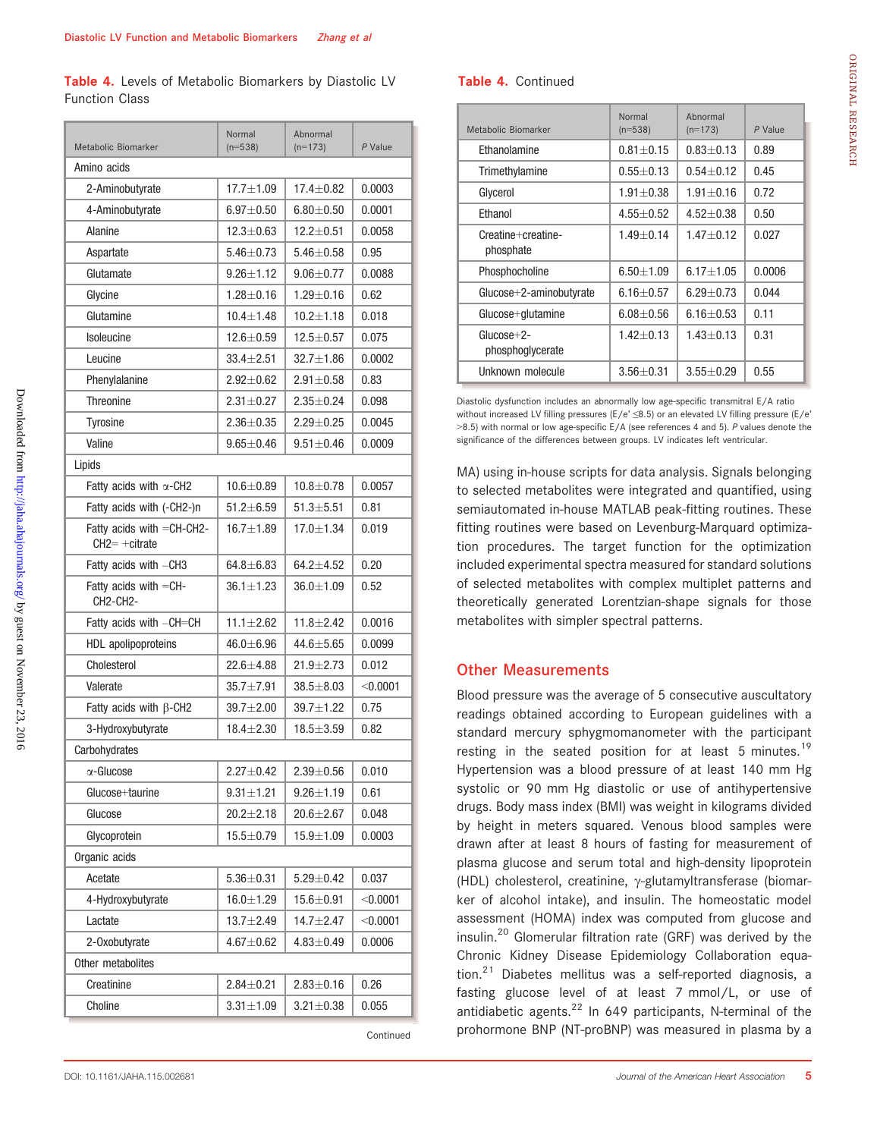Table 4. Levels of Metabolic Biomarkers by Diastolic LV Function Class

| Metabolic Biomarker                                            | Normal<br>$(n=538)$ | Abnormal<br>$(n=173)$ | $P$ Value  |  |  |
|----------------------------------------------------------------|---------------------|-----------------------|------------|--|--|
| Amino acids                                                    |                     |                       |            |  |  |
| 2-Aminobutyrate                                                | $17.7 \pm 1.09$     | $17.4 \pm 0.82$       | 0.0003     |  |  |
| 4-Aminobutyrate                                                | $6.97 + 0.50$       | $6.80 + 0.50$         | 0.0001     |  |  |
| Alanine                                                        | $12.3 \pm 0.63$     | $12.2 \pm 0.51$       | 0.0058     |  |  |
| Aspartate                                                      | $5.46 \pm 0.73$     | $5.46 \pm 0.58$       | 0.95       |  |  |
| Glutamate                                                      | $9.26 \pm 1.12$     | $9.06 + 0.77$         | 0.0088     |  |  |
| Glycine                                                        | $1.28 + 0.16$       | $1.29 + 0.16$         | 0.62       |  |  |
| Glutamine                                                      | $10.4 + 1.48$       | $10.2 + 1.18$         | 0.018      |  |  |
| <b>Isoleucine</b>                                              | $12.6 \pm 0.59$     | $12.5 + 0.57$         | 0.075      |  |  |
| Leucine                                                        | $33.4 \pm 2.51$     | $32.7 \pm 1.86$       | 0.0002     |  |  |
| Phenylalanine                                                  | $2.92 \pm 0.62$     | $2.91 + 0.58$         | 0.83       |  |  |
| <b>Threonine</b>                                               | $2.31 \pm 0.27$     | $2.35 + 0.24$         | 0.098      |  |  |
| <b>Tyrosine</b>                                                | $2.36 \pm 0.35$     | $2.29 + 0.25$         | 0.0045     |  |  |
| Valine                                                         | $9.65 + 0.46$       | $9.51 \pm 0.46$       | 0.0009     |  |  |
| Lipids                                                         |                     |                       |            |  |  |
| Fatty acids with $\alpha$ -CH2                                 | $10.6 + 0.89$       | $10.8 + 0.78$         | 0.0057     |  |  |
| Fatty acids with (-CH2-)n                                      | $51.2 + 6.59$       | $51.3 + 5.51$         | 0.81       |  |  |
| Fatty acids with $=$ CH-CH2-<br>$CH2= + citrate$               | $16.7 \pm 1.89$     | $17.0 + 1.34$         | 0.019      |  |  |
| Fatty acids with -CH3                                          | $64.8 \pm 6.83$     | $64.2 + 4.52$         | 0.20       |  |  |
| Fatty acids with $=$ CH-<br>CH <sub>2</sub> -CH <sub>2</sub> - | $36.1 \pm 1.23$     | $36.0 \!\pm\! 1.09$   | 0.52       |  |  |
| Fatty acids with -CH=CH                                        | $11.1 \pm 2.62$     | $11.8 + 2.42$         | 0.0016     |  |  |
| HDL apolipoproteins                                            | $46.0 \pm 6.96$     | $44.6 \pm 5.65$       | 0.0099     |  |  |
| Cholesterol                                                    | $22.6 \pm 4.88$     | $21.9 + 2.73$         | 0.012      |  |  |
| Valerate                                                       | $35.7 + 7.91$       | $38.5 + 8.03$         | $<$ 0.0001 |  |  |
| Fatty acids with $\beta$ -CH2                                  | $39.7 \pm 2.00$     | $39.7 + 1.22$         | 0.75       |  |  |
| 3-Hydroxybutyrate                                              | $18.4 + 2.30$       | $18.5 \pm 3.59$       | 0.82       |  |  |
| Carbohydrates                                                  |                     |                       |            |  |  |
| α-Glucose                                                      | $2.27 \pm 0.42$     | $2.39 + 0.56$         | 0.010      |  |  |
| Glucose+taurine                                                | $9.31 \pm 1.21$     | $9.26 \pm 1.19$       | 0.61       |  |  |
| Glucose                                                        | $20.2 \pm 2.18$     | $20.6 + 2.67$         | 0.048      |  |  |
| Glycoprotein                                                   | $15.5 + 0.79$       | $15.9 + 1.09$         | 0.0003     |  |  |
| Organic acids                                                  |                     |                       |            |  |  |
| Acetate                                                        | $5.36 \pm 0.31$     | $5.29 \pm 0.42$       | 0.037      |  |  |
| 4-Hydroxybutyrate                                              | $16.0 + 1.29$       | $15.6 \pm 0.91$       | < 0.0001   |  |  |
| Lactate                                                        | $13.7 + 2.49$       | $14.7 + 2.47$         | < 0.0001   |  |  |
| 2-Oxobutyrate                                                  | $4.67 \pm 0.62$     | $4.83 {\pm} 0.49$     | 0.0006     |  |  |
| Other metabolites                                              |                     |                       |            |  |  |
| Creatinine                                                     | $2.84 \pm 0.21$     | $2.83 \pm 0.16$       | 0.26       |  |  |
| Choline                                                        | $3.31 + 1.09$       | $3.21 \pm 0.38$       | 0.055      |  |  |

Continued

Table 4. Continued

| Metabolic Biomarker              | Normal<br>$(n=538)$ | Abnormal<br>$(n=173)$ | P Value |
|----------------------------------|---------------------|-----------------------|---------|
| <b>Fthanolamine</b>              | $0.81 + 0.15$       | $0.83 + 0.13$         | 0.89    |
| Trimethylamine                   | $0.55 + 0.13$       | $0.54 + 0.12$         | 0.45    |
| Glycerol                         | $1.91 + 0.38$       | $1.91 + 0.16$         | 0.72    |
| Ethanol                          | $4.55 + 0.52$       | $4.52 + 0.38$         | 0.50    |
| Creatine+creatine-<br>phosphate  | $1.49 + 0.14$       | $1.47 + 0.12$         | 0.027   |
| Phosphocholine                   | $6.50 + 1.09$       | $6.17 + 1.05$         | 0.0006  |
| $Glucose+2$ -aminobutyrate       | $6.16 + 0.57$       | $6.29 + 0.73$         | 0.044   |
| Glucose+glutamine                | $6.08 + 0.56$       | $6.16 + 0.53$         | 0.11    |
| $Glucose+2-$<br>phosphoglycerate | $1.42 + 0.13$       | $1.43 + 0.13$         | 0.31    |
| Unknown molecule                 | $3.56 + 0.31$       | $3.55 + 0.29$         | 0.55    |

Diastolic dysfunction includes an abnormally low age-specific transmitral E/A ratio without increased LV filling pressures (E/e' ≤8.5) or an elevated LV filling pressure (E/e' >8.5) with normal or low age-specific E/A (see references 4 and 5). P values denote the significance of the differences between groups. LV indicates left ventricular.

MA) using in-house scripts for data analysis. Signals belonging to selected metabolites were integrated and quantified, using semiautomated in-house MATLAB peak-fitting routines. These fitting routines were based on Levenburg-Marquard optimization procedures. The target function for the optimization included experimental spectra measured for standard solutions of selected metabolites with complex multiplet patterns and theoretically generated Lorentzian-shape signals for those metabolites with simpler spectral patterns.

#### Other Measurements

Blood pressure was the average of 5 consecutive auscultatory readings obtained according to European guidelines with a standard mercury sphygmomanometer with the participant resting in the seated position for at least 5 minutes.<sup>19</sup> Hypertension was a blood pressure of at least 140 mm Hg systolic or 90 mm Hg diastolic or use of antihypertensive drugs. Body mass index (BMI) was weight in kilograms divided by height in meters squared. Venous blood samples were drawn after at least 8 hours of fasting for measurement of plasma glucose and serum total and high-density lipoprotein (HDL) cholesterol, creatinine,  $\gamma$ -glutamyltransferase (biomarker of alcohol intake), and insulin. The homeostatic model assessment (HOMA) index was computed from glucose and insulin.<sup>20</sup> Glomerular filtration rate (GRF) was derived by the Chronic Kidney Disease Epidemiology Collaboration equation. $21$  Diabetes mellitus was a self-reported diagnosis, a fasting glucose level of at least 7 mmol/L, or use of antidiabetic agents. $^{22}$  In 649 participants, N-terminal of the prohormone BNP (NT-proBNP) was measured in plasma by a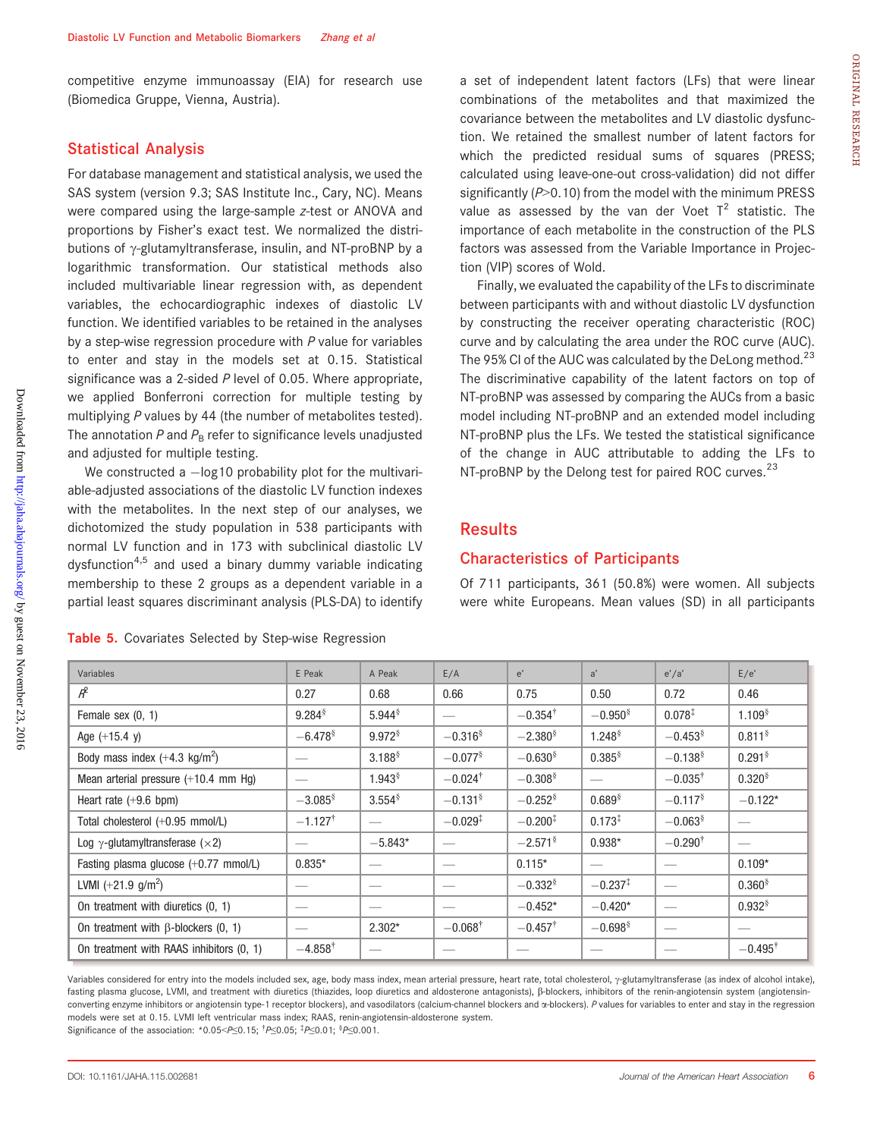competitive enzyme immunoassay (EIA) for research use (Biomedica Gruppe, Vienna, Austria).

## Statistical Analysis

For database management and statistical analysis, we used the SAS system (version 9.3; SAS Institute Inc., Cary, NC). Means were compared using the large-sample z-test or ANOVA and proportions by Fisher's exact test. We normalized the distributions of  $\gamma$ -glutamyltransferase, insulin, and NT-proBNP by a logarithmic transformation. Our statistical methods also included multivariable linear regression with, as dependent variables, the echocardiographic indexes of diastolic LV function. We identified variables to be retained in the analyses by a step-wise regression procedure with  $P$  value for variables to enter and stay in the models set at 0.15. Statistical significance was a 2-sided  $P$  level of 0.05. Where appropriate, we applied Bonferroni correction for multiple testing by multiplying P values by 44 (the number of metabolites tested). The annotation  $P$  and  $P_B$  refer to significance levels unadjusted and adjusted for multiple testing.

We constructed a  $-\log 10$  probability plot for the multivariable-adjusted associations of the diastolic LV function indexes with the metabolites. In the next step of our analyses, we dichotomized the study population in 538 participants with normal LV function and in 173 with subclinical diastolic LV dysfunction<sup>4,5</sup> and used a binary dummy variable indicating membership to these 2 groups as a dependent variable in a partial least squares discriminant analysis (PLS-DA) to identify

Table 5. Covariates Selected by Step-wise Regression

a set of independent latent factors (LFs) that were linear combinations of the metabolites and that maximized the covariance between the metabolites and LV diastolic dysfunction. We retained the smallest number of latent factors for which the predicted residual sums of squares (PRESS; calculated using leave-one-out cross-validation) did not differ significantly  $(P>0.10)$  from the model with the minimum PRESS value as assessed by the van der Voet  $T^2$  statistic. The importance of each metabolite in the construction of the PLS factors was assessed from the Variable Importance in Projection (VIP) scores of Wold.

Finally, we evaluated the capability of the LFs to discriminate between participants with and without diastolic LV dysfunction by constructing the receiver operating characteristic (ROC) curve and by calculating the area under the ROC curve (AUC). The 95% CI of the AUC was calculated by the DeLong method. $^{23}$ The discriminative capability of the latent factors on top of NT-proBNP was assessed by comparing the AUCs from a basic model including NT-proBNP and an extended model including NT-proBNP plus the LFs. We tested the statistical significance of the change in AUC attributable to adding the LFs to NT-proBNP by the Delong test for paired ROC curves.<sup>23</sup>

## **Results**

#### Characteristics of Participants

Of 711 participants, 361 (50.8%) were women. All subjects were white Europeans. Mean values (SD) in all participants

| $\mathcal{A}^2$                                                                                                                                                                              | 0.27                     | 0.68                     | 0.66                   | 0.75                  | 0.50                  | 0.72                     | 0.46                 |
|----------------------------------------------------------------------------------------------------------------------------------------------------------------------------------------------|--------------------------|--------------------------|------------------------|-----------------------|-----------------------|--------------------------|----------------------|
| Female sex $(0, 1)$                                                                                                                                                                          | $9.284^{\$}$             | $5.944^{\$}$             |                        | $-0.354^{\dagger}$    | $-0.950*$             | $0.078^{*}$              | 1.109 <sup>§</sup>   |
| Age $(+15.4 y)$                                                                                                                                                                              | $-6.478^{\circ}$         | $9.972$ <sup>§</sup>     | $-0.316^{\frac{1}{3}}$ | $-2.380^{\circ}$      | 1.248 <sup>§</sup>    | $-0.453$ <sup>§</sup>    | 0.811 <sup>§</sup>   |
| Body mass index $(+4.3 \text{ kg/m}^2)$                                                                                                                                                      | --                       | $3.188^{\$}$             | $-0.077$ <sup>§</sup>  | $-0.630*$             | $0.385^{\$}$          | $-0.138$ <sup>§</sup>    | $0.291$ <sup>§</sup> |
| Mean arterial pressure (+10.4 mm Hg)                                                                                                                                                         |                          | $1.943^{\$}$             | $-0.024$ <sup>†</sup>  | $-0.308$ <sup>§</sup> |                       | $-0.035^{\dagger}$       | $0.320^{8}$          |
| Heart rate $(+9.6$ bpm)                                                                                                                                                                      | $-3.085^{\circ}$         | $3.554^{\$}$             | $-0.131$ <sup>§</sup>  | $-0.252$ <sup>§</sup> | $0.689$ <sup>§</sup>  | $-0.117$ <sup>§</sup>    | $-0.122*$            |
| Total cholesterol (+0.95 mmol/L)                                                                                                                                                             | $-1.127$ <sup>†</sup>    |                          | $-0.029^{\ddagger}$    | $-0.200*$             | $0.173^{1}$           | $-0.063$ <sup>§</sup>    |                      |
| Log $\gamma$ -glutamyltransferase ( $\times$ 2)                                                                                                                                              |                          | $-5.843*$                |                        | $-2.571$ <sup>§</sup> | $0.938*$              | $-0.290^{\dagger}$       |                      |
| Fasting plasma glucose (+0.77 mmol/L)                                                                                                                                                        | $0.835*$                 |                          |                        | $0.115*$              |                       |                          | $0.109*$             |
| LVMI $(+21.9)$ g/m <sup>2</sup> )                                                                                                                                                            |                          |                          |                        | $-0.332$ <sup>§</sup> | $-0.237^{\ddagger}$   |                          | $0.360^{8}$          |
| On treatment with diuretics (0, 1)                                                                                                                                                           | __                       | $\overline{\phantom{a}}$ |                        | $-0.452*$             | $-0.420*$             | $\overline{\phantom{0}}$ | $0.932$ <sup>§</sup> |
| On treatment with $\beta$ -blockers (0, 1)                                                                                                                                                   | $\overline{\phantom{a}}$ | $2.302*$                 | $-0.068^{\dagger}$     | $-0.457^{\dagger}$    | $-0.698$ <sup>§</sup> | $\overline{\phantom{m}}$ |                      |
| On treatment with RAAS inhibitors (0, 1)                                                                                                                                                     | $-4.858$ <sup>T</sup>    |                          |                        |                       |                       |                          | $-0.495^{\dagger}$   |
| Variables considered for entry into the models included sex, age, body mass index, mean arterial pressure, heart rate, total cholesterol, y-glutamyltransferase (as index of alcohol intake) |                          |                          |                        |                       |                       |                          |                      |

Variables E Peak A Peak E/A e' a' e'/a' E/e'

Variables considered for entry into the models included sex, age, body mass index, mean arterial pressure, heart rate, total cholesterol,  $\gamma$ -glutamyltransferase (as index of alcohol intake), fasting plasma glucose, LVMI, and treatment with diuretics (thiazides, loop diuretics and aldosterone antagonists), ß-blockers, inhibitors of the renin-angiotensin system (angiotensinconverting enzyme inhibitors or angiotensin type-1 receptor blockers), and vasodilators (calcium-channel blockers and x-blockers). P values for variables to enter and stay in the regression models were set at 0.15. LVMI left ventricular mass index; RAAS, renin-angiotensin-aldosterone system. Significance of the association: \*0.05< $P \le 0.15$ ;  $^{\dagger}P \le 0.05$ ;  $^{\dagger}P \le 0.01$ ;  $^{\dagger}P \le 0.001$ .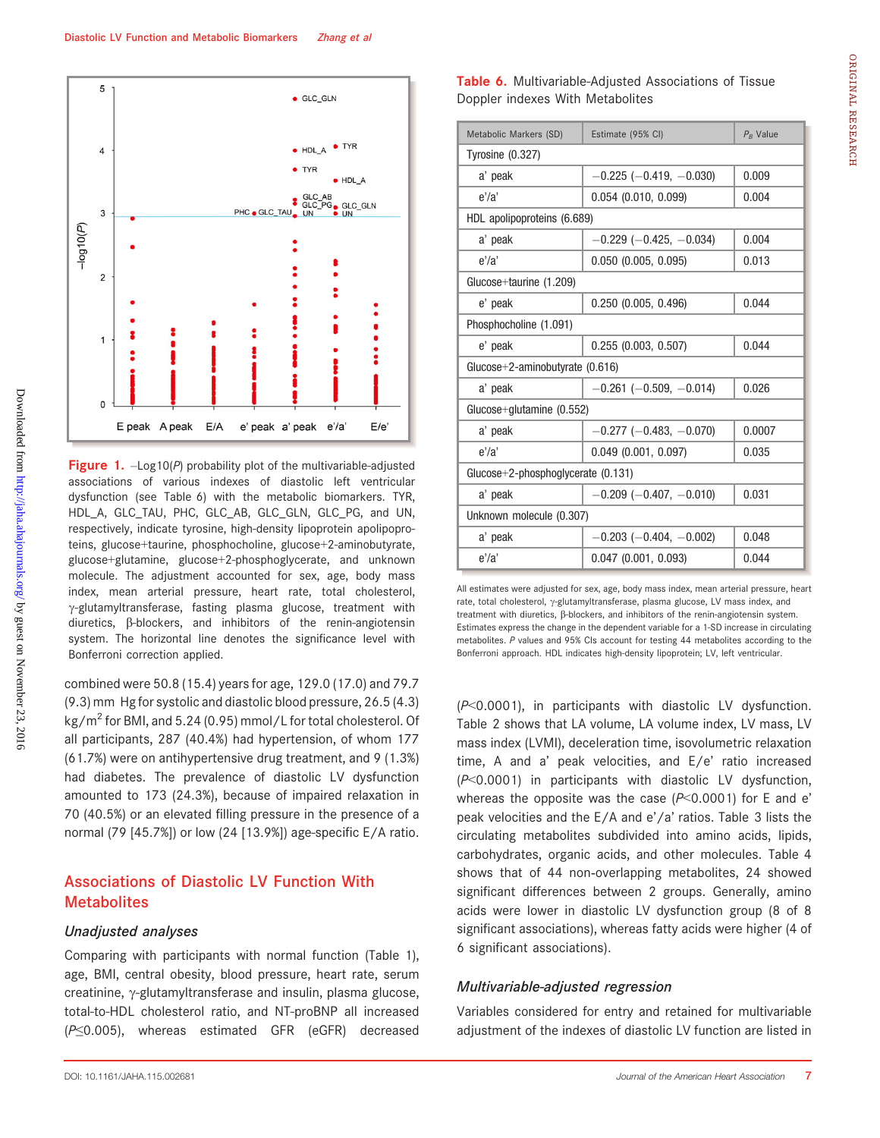

**Figure 1.**  $-\text{Log }10(P)$  probability plot of the multivariable-adjusted associations of various indexes of diastolic left ventricular dysfunction (see Table 6) with the metabolic biomarkers. TYR, HDL\_A, GLC\_TAU, PHC, GLC\_AB, GLC\_GLN, GLC\_PG, and UN, respectively, indicate tyrosine, high-density lipoprotein apolipoproteins, glucose+taurine, phosphocholine, glucose+2-aminobutyrate, glucose+glutamine, glucose+2-phosphoglycerate, and unknown molecule. The adjustment accounted for sex, age, body mass index, mean arterial pressure, heart rate, total cholesterol,  $\gamma$ -glutamyltransferase, fasting plasma glucose, treatment with diuretics, b-blockers, and inhibitors of the renin-angiotensin system. The horizontal line denotes the significance level with Bonferroni correction applied.

combined were 50.8 (15.4) years for age, 129.0 (17.0) and 79.7 (9.3) mm Hg for systolic and diastolic blood pressure, 26.5 (4.3) kg/m<sup>2</sup> for BMI, and 5.24 (0.95) mmol/L for total cholesterol. Of all participants, 287 (40.4%) had hypertension, of whom 177 (61.7%) were on antihypertensive drug treatment, and 9 (1.3%) had diabetes. The prevalence of diastolic LV dysfunction amounted to 173 (24.3%), because of impaired relaxation in 70 (40.5%) or an elevated filling pressure in the presence of a normal (79 [45.7%]) or low (24 [13.9%]) age-specific E/A ratio.

## Associations of Diastolic LV Function With **Metabolites**

#### Unadjusted analyses

Comparing with participants with normal function (Table 1), age, BMI, central obesity, blood pressure, heart rate, serum  $c$ reatinine,  $\gamma$ -glutamyltransferase and insulin, plasma glucose, total-to-HDL cholesterol ratio, and NT-proBNP all increased (P≤0.005), whereas estimated GFR (eGFR) decreased

| Metabolic Markers (SD)               | Estimate (95% CI)                | $P_B$ Value |  |  |  |
|--------------------------------------|----------------------------------|-------------|--|--|--|
| Tyrosine $(0.327)$                   |                                  |             |  |  |  |
| a' peak                              | $-0.225$ ( $-0.419$ , $-0.030$ ) | 0.009       |  |  |  |
| e'/a'                                | $0.054$ (0.010, 0.099)           | 0.004       |  |  |  |
| HDL apolipoproteins (6.689)          |                                  |             |  |  |  |
| a' peak                              | $-0.229$ ( $-0.425, -0.034$ )    | 0.004       |  |  |  |
| e'/a'                                | $0.050$ (0.005, 0.095)           | 0.013       |  |  |  |
| Glucose+taurine (1.209)              |                                  |             |  |  |  |
| e' peak                              | $0.250$ (0.005, 0.496)           | 0.044       |  |  |  |
| Phosphocholine (1.091)               |                                  |             |  |  |  |
| e' peak                              | $0.255$ $(0.003, 0.507)$         | 0.044       |  |  |  |
| Glucose+2-aminobutyrate $(0.616)$    |                                  |             |  |  |  |
| a' peak                              | $-0.261$ ( $-0.509$ , $-0.014$ ) | 0.026       |  |  |  |
| Glucose+glutamine $(0.552)$          |                                  |             |  |  |  |
| a' peak                              | $-0.277$ ( $-0.483$ , $-0.070$ ) | 0.0007      |  |  |  |
| e'/a'                                | $0.049$ (0.001, 0.097)           | 0.035       |  |  |  |
| Glucose+2-phosphoglycerate $(0.131)$ |                                  |             |  |  |  |
| a' peak                              | $-0.209$ $(-0.407, -0.010)$      | 0.031       |  |  |  |
| Unknown molecule (0.307)             |                                  |             |  |  |  |
| a' peak                              | $-0.203$ ( $-0.404$ , $-0.002$ ) | 0.048       |  |  |  |
| e'/a'                                | $0.047$ $(0.001, 0.093)$         | 0.044       |  |  |  |

All estimates were adjusted for sex, age, body mass index, mean arterial pressure, heart rate, total cholesterol, y-glutamyltransferase, plasma glucose, LV mass index, and treatment with diuretics,  $\beta$ -blockers, and inhibitors of the renin-angiotensin system. Estimates express the change in the dependent variable for a 1-SD increase in circulating metabolites. P values and 95% CIs account for testing 44 metabolites according to the Bonferroni approach. HDL indicates high-density lipoprotein; LV, left ventricular.

(P<0.0001), in participants with diastolic LV dysfunction. Table 2 shows that LA volume, LA volume index, LV mass, LV mass index (LVMI), deceleration time, isovolumetric relaxation time, A and a' peak velocities, and E/e' ratio increased (P<0.0001) in participants with diastolic LV dysfunction, whereas the opposite was the case  $(P<0.0001)$  for E and e' peak velocities and the E/A and e'/a' ratios. Table 3 lists the circulating metabolites subdivided into amino acids, lipids, carbohydrates, organic acids, and other molecules. Table 4 shows that of 44 non-overlapping metabolites, 24 showed significant differences between 2 groups. Generally, amino acids were lower in diastolic LV dysfunction group (8 of 8 significant associations), whereas fatty acids were higher (4 of 6 significant associations).

#### Multivariable-adjusted regression

Variables considered for entry and retained for multivariable adjustment of the indexes of diastolic LV function are listed in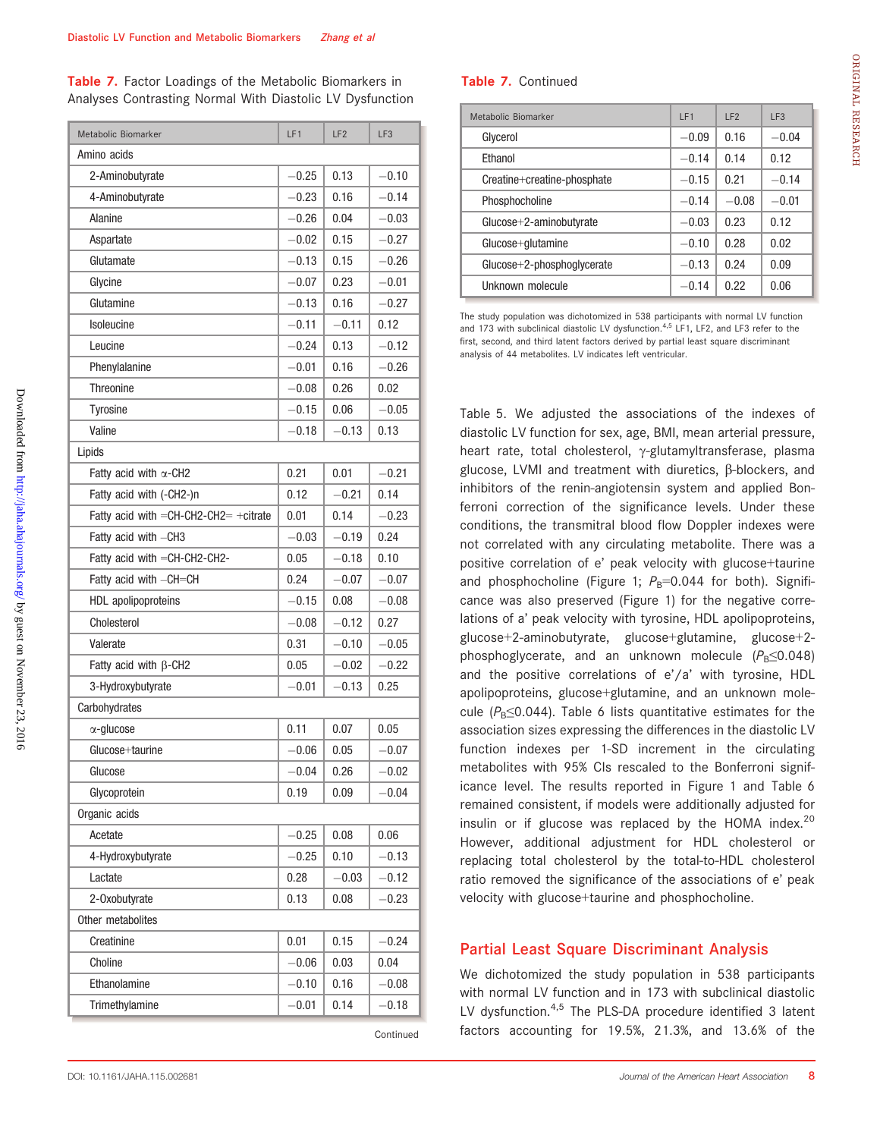Table 7. Factor Loadings of the Metabolic Biomarkers in Analyses Contrasting Normal With Diastolic LV Dysfunction

| Metabolic Biomarker                         | LF <sub>1</sub> | LF <sub>2</sub> | LF <sub>3</sub> |  |  |  |
|---------------------------------------------|-----------------|-----------------|-----------------|--|--|--|
| Amino acids                                 |                 |                 |                 |  |  |  |
| 2-Aminobutyrate                             | $-0.25$         | 0.13            | $-0.10$         |  |  |  |
| 4-Aminobutyrate                             | $-0.23$         | 0.16            | $-0.14$         |  |  |  |
| Alanine                                     | $-0.26$         | 0.04            | $-0.03$         |  |  |  |
| Aspartate                                   | $-0.02$         | 0.15            | $-0.27$         |  |  |  |
| Glutamate                                   | $-0.13$         | 0.15            | $-0.26$         |  |  |  |
| Glycine                                     | $-0.07$         | 0.23            | $-0.01$         |  |  |  |
| Glutamine                                   | $-0.13$         | 0.16            | $-0.27$         |  |  |  |
| Isoleucine                                  | $-0.11$         | $-0.11$         | 0.12            |  |  |  |
| Leucine                                     | $-0.24$         | 0.13            | $-0.12$         |  |  |  |
| Phenylalanine                               | $-0.01$         | 0.16            | $-0.26$         |  |  |  |
| <b>Threonine</b>                            | $-0.08$         | 0.26            | 0.02            |  |  |  |
| Tyrosine                                    | $-0.15$         | 0.06            | $-0.05$         |  |  |  |
| Valine                                      | $-0.18$         | $-0.13$         | 0.13            |  |  |  |
| Lipids                                      |                 |                 |                 |  |  |  |
| Fatty acid with $\alpha$ -CH2               | 0.21            | 0.01            | $-0.21$         |  |  |  |
| Fatty acid with (-CH2-)n                    | 0.12            | $-0.21$         | 0.14            |  |  |  |
| Fatty acid with $=$ CH-CH2-CH2 $=$ +citrate | 0.01            | 0.14            | $-0.23$         |  |  |  |
| Fatty acid with -CH3                        | $-0.03$         | $-0.19$         | 0.24            |  |  |  |
| Fatty acid with $=$ CH-CH2-CH2-             | 0.05            | $-0.18$         | 0.10            |  |  |  |
| Fatty acid with -CH=CH                      | 0.24            | $-0.07$         | $-0.07$         |  |  |  |
| HDL apolipoproteins                         | $-0.15$         | 0.08            | $-0.08$         |  |  |  |
| Cholesterol                                 | $-0.08$         | $-0.12$         | 0.27            |  |  |  |
| Valerate                                    | 0.31            | $-0.10$         | $-0.05$         |  |  |  |
| Fatty acid with $\beta$ -CH2                | 0.05            | $-0.02$         | $-0.22$         |  |  |  |
| 3-Hydroxybutyrate                           | $-0.01$         | $-0.13$         | 0.25            |  |  |  |
| Carbohydrates                               |                 |                 |                 |  |  |  |
| $\alpha$ -glucose                           | 0.11            | 0.07            | 0.05            |  |  |  |
| Glucose+taurine                             | $-0.06$         | 0.05            | $-0.07$         |  |  |  |
| Glucose                                     | $-0.04$         | 0.26            | $-0.02$         |  |  |  |
| Glycoprotein                                | 0.19            | 0.09            | $-0.04$         |  |  |  |
| Organic acids                               |                 |                 |                 |  |  |  |
| Acetate                                     | $-0.25$         | 0.08            | 0.06            |  |  |  |
| 4-Hydroxybutyrate                           | $-0.25$         | 0.10            | -0.13           |  |  |  |
| Lactate                                     | 0.28            | $-0.03$         | $-0.12$         |  |  |  |
| 2-Oxobutyrate                               | 0.13            | 0.08            | $-0.23$         |  |  |  |
| Other metabolites                           |                 |                 |                 |  |  |  |
| Creatinine                                  | 0.01            | 0.15            | $-0.24$         |  |  |  |
| Choline                                     | $-0.06$         | 0.03            | 0.04            |  |  |  |
| Ethanolamine                                | $-0.10$         | 0.16            | $-0.08$         |  |  |  |
| Trimethylamine                              | $-0.01$         | 0.14            | $-0.18$         |  |  |  |
|                                             |                 |                 |                 |  |  |  |

Continued

| Metabolic Biomarker          | IF1     | IF2     | LF <sub>3</sub> |
|------------------------------|---------|---------|-----------------|
| Glycerol                     | $-0.09$ | 0.16    | $-0.04$         |
| Fthanol                      | $-0.14$ | 0.14    | 0.12            |
| Creatine+creatine-phosphate  | $-0.15$ | 0.21    | $-0.14$         |
| Phosphocholine               | $-0.14$ | $-0.08$ | $-0.01$         |
| Glucose+2-aminobutyrate      | $-0.03$ | 0.23    | 0.12            |
| Glucose+glutamine            | $-0.10$ | 0.28    | 0.02            |
| $Glucose+2-phosphoqlycerate$ | $-0.13$ | 0.24    | 0.09            |
| Unknown molecule             | $-0.14$ | 0.22    | 0.06            |

The study population was dichotomized in 538 participants with normal LV function and 173 with subclinical diastolic LV dysfunction. $4,5$  LF1, LF2, and LF3 refer to the first, second, and third latent factors derived by partial least square discriminant analysis of 44 metabolites. LV indicates left ventricular.

Table 5. We adjusted the associations of the indexes of diastolic LV function for sex, age, BMI, mean arterial pressure, heart rate, total cholesterol,  $\gamma$ -glutamyltransferase, plasma glucose, LVMI and treatment with diuretics,  $\beta$ -blockers, and inhibitors of the renin-angiotensin system and applied Bonferroni correction of the significance levels. Under these conditions, the transmitral blood flow Doppler indexes were not correlated with any circulating metabolite. There was a positive correlation of e' peak velocity with glucose+taurine and phosphocholine (Figure 1;  $P_B$ =0.044 for both). Significance was also preserved (Figure 1) for the negative correlations of a' peak velocity with tyrosine, HDL apolipoproteins, glucose+2-aminobutyrate, glucose+glutamine, glucose+2 phosphoglycerate, and an unknown molecule  $(P_B \le 0.048)$ and the positive correlations of e'/a' with tyrosine, HDL apolipoproteins, glucose+glutamine, and an unknown molecule ( $P_B \le 0.044$ ). Table 6 lists quantitative estimates for the association sizes expressing the differences in the diastolic LV function indexes per 1-SD increment in the circulating metabolites with 95% CIs rescaled to the Bonferroni significance level. The results reported in Figure 1 and Table 6 remained consistent, if models were additionally adjusted for insulin or if glucose was replaced by the HOMA index.<sup>20</sup> However, additional adjustment for HDL cholesterol or replacing total cholesterol by the total-to-HDL cholesterol ratio removed the significance of the associations of e' peak velocity with glucose+taurine and phosphocholine.

## Partial Least Square Discriminant Analysis

We dichotomized the study population in 538 participants with normal LV function and in 173 with subclinical diastolic LV dysfunction.<sup>4,5</sup> The PLS-DA procedure identified 3 latent factors accounting for 19.5%, 21.3%, and 13.6% of the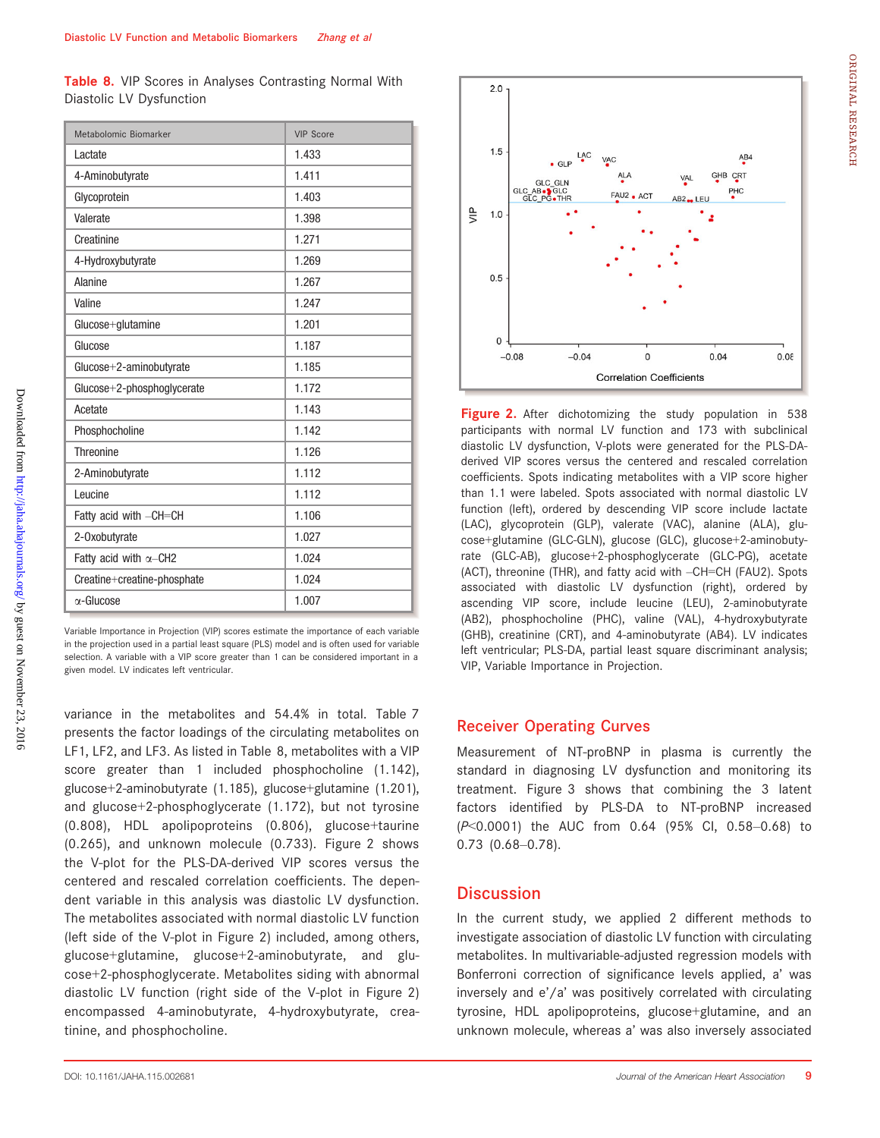|                          |  |  | Table 8. VIP Scores in Analyses Contrasting Normal With |  |
|--------------------------|--|--|---------------------------------------------------------|--|
| Diastolic LV Dysfunction |  |  |                                                         |  |

| Metabolomic Biomarker         | <b>VIP Score</b> |
|-------------------------------|------------------|
| Lactate                       | 1.433            |
| 4-Aminobutyrate               | 1.411            |
| Glycoprotein                  | 1.403            |
| Valerate                      | 1.398            |
| Creatinine                    | 1.271            |
| 4-Hydroxybutyrate             | 1.269            |
| <b>Alanine</b>                | 1.267            |
| Valine                        | 1.247            |
| Glucose+glutamine             | 1.201            |
| Glucose                       | 1.187            |
| Glucose+2-aminobutyrate       | 1.185            |
| $Glucose+2-phosphoglycerate$  | 1.172            |
| Acetate                       | 1.143            |
| Phosphocholine                | 1.142            |
| <b>Threonine</b>              | 1.126            |
| 2-Aminobutyrate               | 1.112            |
| Leucine                       | 1.112            |
| Fatty acid with -CH=CH        | 1.106            |
| 2-Oxobutyrate                 | 1.027            |
| Fatty acid with $\alpha$ -CH2 | 1.024            |
| Creatine+creatine-phosphate   | 1.024            |
| $\alpha$ -Glucose             | 1.007            |

Variable Importance in Projection (VIP) scores estimate the importance of each variable in the projection used in a partial least square (PLS) model and is often used for variable selection. A variable with a VIP score greater than 1 can be considered important in a given model. LV indicates left ventricular.

variance in the metabolites and 54.4% in total. Table 7 presents the factor loadings of the circulating metabolites on LF1, LF2, and LF3. As listed in Table 8, metabolites with a VIP score greater than 1 included phosphocholine (1.142), glucose+2-aminobutyrate (1.185), glucose+glutamine (1.201), and glucose+2-phosphoglycerate (1.172), but not tyrosine (0.808), HDL apolipoproteins (0.806), glucose+taurine (0.265), and unknown molecule (0.733). Figure 2 shows the V-plot for the PLS-DA-derived VIP scores versus the centered and rescaled correlation coefficients. The dependent variable in this analysis was diastolic LV dysfunction. The metabolites associated with normal diastolic LV function (left side of the V-plot in Figure 2) included, among others, glucose+glutamine, glucose+2-aminobutyrate, and glucose+2-phosphoglycerate. Metabolites siding with abnormal diastolic LV function (right side of the V-plot in Figure 2) encompassed 4-aminobutyrate, 4-hydroxybutyrate, creatinine, and phosphocholine.



Figure 2. After dichotomizing the study population in 538 participants with normal LV function and 173 with subclinical diastolic LV dysfunction, V-plots were generated for the PLS-DAderived VIP scores versus the centered and rescaled correlation coefficients. Spots indicating metabolites with a VIP score higher than 1.1 were labeled. Spots associated with normal diastolic LV function (left), ordered by descending VIP score include lactate (LAC), glycoprotein (GLP), valerate (VAC), alanine (ALA), glucose+glutamine (GLC-GLN), glucose (GLC), glucose+2-aminobutyrate (GLC-AB), glucose+2-phosphoglycerate (GLC-PG), acetate (ACT), threonine (THR), and fatty acid with –CH=CH (FAU2). Spots associated with diastolic LV dysfunction (right), ordered by ascending VIP score, include leucine (LEU), 2-aminobutyrate (AB2), phosphocholine (PHC), valine (VAL), 4-hydroxybutyrate (GHB), creatinine (CRT), and 4-aminobutyrate (AB4). LV indicates left ventricular; PLS-DA, partial least square discriminant analysis; VIP, Variable Importance in Projection.

## Receiver Operating Curves

Measurement of NT-proBNP in plasma is currently the standard in diagnosing LV dysfunction and monitoring its treatment. Figure 3 shows that combining the 3 latent factors identified by PLS-DA to NT-proBNP increased (P<0.0001) the AUC from 0.64 (95% CI, 0.58–0.68) to 0.73 (0.68–0.78).

## **Discussion**

In the current study, we applied 2 different methods to investigate association of diastolic LV function with circulating metabolites. In multivariable-adjusted regression models with Bonferroni correction of significance levels applied, a' was inversely and e'/a' was positively correlated with circulating tyrosine, HDL apolipoproteins, glucose+glutamine, and an unknown molecule, whereas a' was also inversely associated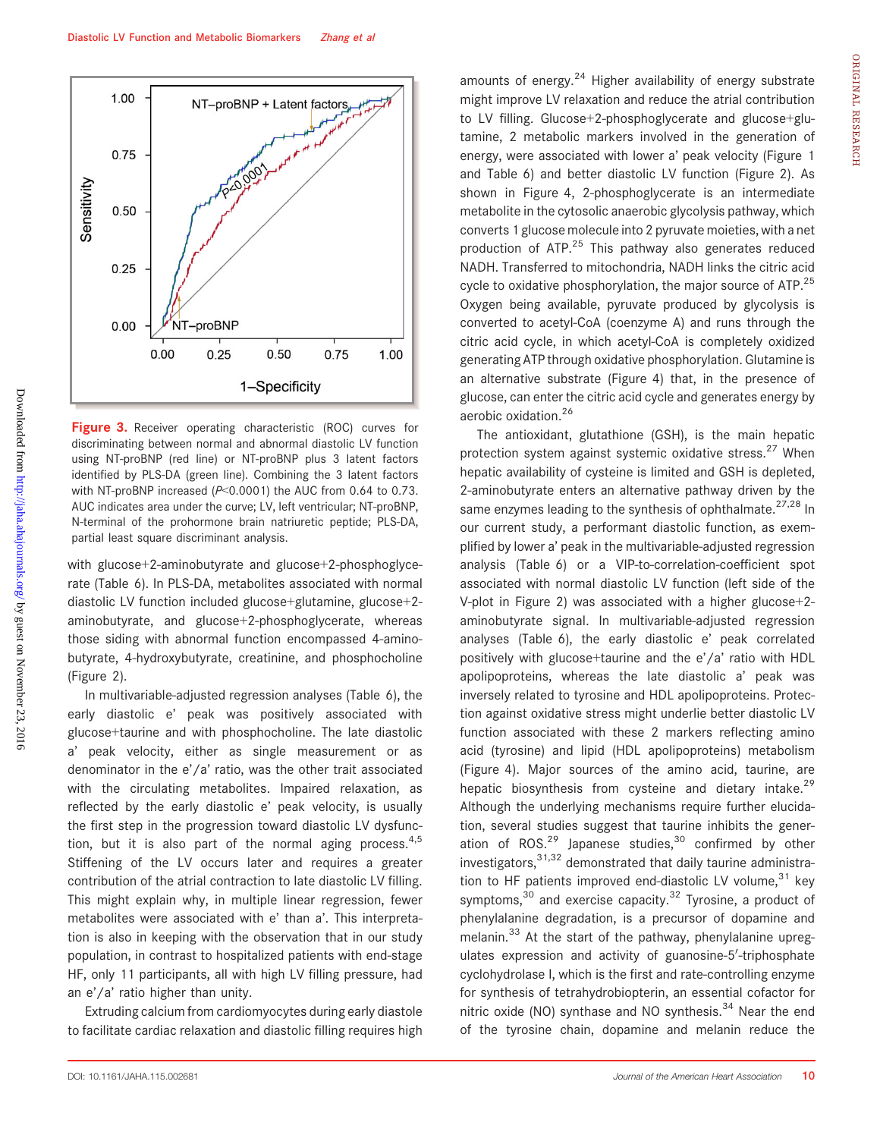

Figure 3. Receiver operating characteristic (ROC) curves for discriminating between normal and abnormal diastolic LV function using NT-proBNP (red line) or NT-proBNP plus 3 latent factors identified by PLS-DA (green line). Combining the 3 latent factors with NT-proBNP increased (P<0.0001) the AUC from 0.64 to 0.73. AUC indicates area under the curve; LV, left ventricular; NT-proBNP, N-terminal of the prohormone brain natriuretic peptide; PLS-DA, partial least square discriminant analysis.

with glucose+2-aminobutyrate and glucose+2-phosphoglycerate (Table 6). In PLS-DA, metabolites associated with normal diastolic LV function included glucose+glutamine, glucose+2 aminobutyrate, and glucose+2-phosphoglycerate, whereas those siding with abnormal function encompassed 4-aminobutyrate, 4-hydroxybutyrate, creatinine, and phosphocholine (Figure 2).

In multivariable-adjusted regression analyses (Table 6), the early diastolic e' peak was positively associated with glucose+taurine and with phosphocholine. The late diastolic a' peak velocity, either as single measurement or as denominator in the e'/a' ratio, was the other trait associated with the circulating metabolites. Impaired relaxation, as reflected by the early diastolic e' peak velocity, is usually the first step in the progression toward diastolic LV dysfunction, but it is also part of the normal aging process. $4,5$ Stiffening of the LV occurs later and requires a greater contribution of the atrial contraction to late diastolic LV filling. This might explain why, in multiple linear regression, fewer metabolites were associated with e' than a'. This interpretation is also in keeping with the observation that in our study population, in contrast to hospitalized patients with end-stage HF, only 11 participants, all with high LV filling pressure, had an e'/a' ratio higher than unity.

Extruding calcium from cardiomyocytes during early diastole to facilitate cardiac relaxation and diastolic filling requires high

amounts of energy. $24$  Higher availability of energy substrate might improve LV relaxation and reduce the atrial contribution to LV filling. Glucose+2-phosphoglycerate and glucose+glutamine, 2 metabolic markers involved in the generation of energy, were associated with lower a' peak velocity (Figure 1 and Table 6) and better diastolic LV function (Figure 2). As shown in Figure 4, 2-phosphoglycerate is an intermediate metabolite in the cytosolic anaerobic glycolysis pathway, which converts 1 glucose molecule into 2 pyruvate moieties, with a net production of ATP.<sup>25</sup> This pathway also generates reduced NADH. Transferred to mitochondria, NADH links the citric acid cycle to oxidative phosphorylation, the major source of ATP. $25$ Oxygen being available, pyruvate produced by glycolysis is converted to acetyl-CoA (coenzyme A) and runs through the citric acid cycle, in which acetyl-CoA is completely oxidized generating ATP through oxidative phosphorylation. Glutamine is an alternative substrate (Figure 4) that, in the presence of glucose, can enter the citric acid cycle and generates energy by aerobic oxidation.<sup>26</sup>

The antioxidant, glutathione (GSH), is the main hepatic protection system against systemic oxidative stress.<sup>27</sup> When hepatic availability of cysteine is limited and GSH is depleted, 2-aminobutyrate enters an alternative pathway driven by the same enzymes leading to the synthesis of ophthalmate. $27,28$  In our current study, a performant diastolic function, as exemplified by lower a' peak in the multivariable-adjusted regression analysis (Table 6) or a VIP-to-correlation-coefficient spot associated with normal diastolic LV function (left side of the V-plot in Figure 2) was associated with a higher glucose+2 aminobutyrate signal. In multivariable-adjusted regression analyses (Table 6), the early diastolic e' peak correlated positively with glucose+taurine and the e'/a' ratio with HDL apolipoproteins, whereas the late diastolic a' peak was inversely related to tyrosine and HDL apolipoproteins. Protection against oxidative stress might underlie better diastolic LV function associated with these 2 markers reflecting amino acid (tyrosine) and lipid (HDL apolipoproteins) metabolism (Figure 4). Major sources of the amino acid, taurine, are hepatic biosynthesis from cysteine and dietary intake.<sup>29</sup> Although the underlying mechanisms require further elucidation, several studies suggest that taurine inhibits the generation of ROS. $^{29}$  Japanese studies, $^{30}$  confirmed by other  $i$ nvestigators, $31,32$  demonstrated that daily taurine administration to HF patients improved end-diastolic LV volume,  $31$  key symptoms, $30$  and exercise capacity. $32$  Tyrosine, a product of phenylalanine degradation, is a precursor of dopamine and melanin.<sup>33</sup> At the start of the pathway, phenylalanine upregulates expression and activity of guanosine-5'-triphosphate cyclohydrolase I, which is the first and rate-controlling enzyme for synthesis of tetrahydrobiopterin, an essential cofactor for nitric oxide (NO) synthase and NO synthesis.<sup>34</sup> Near the end of the tyrosine chain, dopamine and melanin reduce the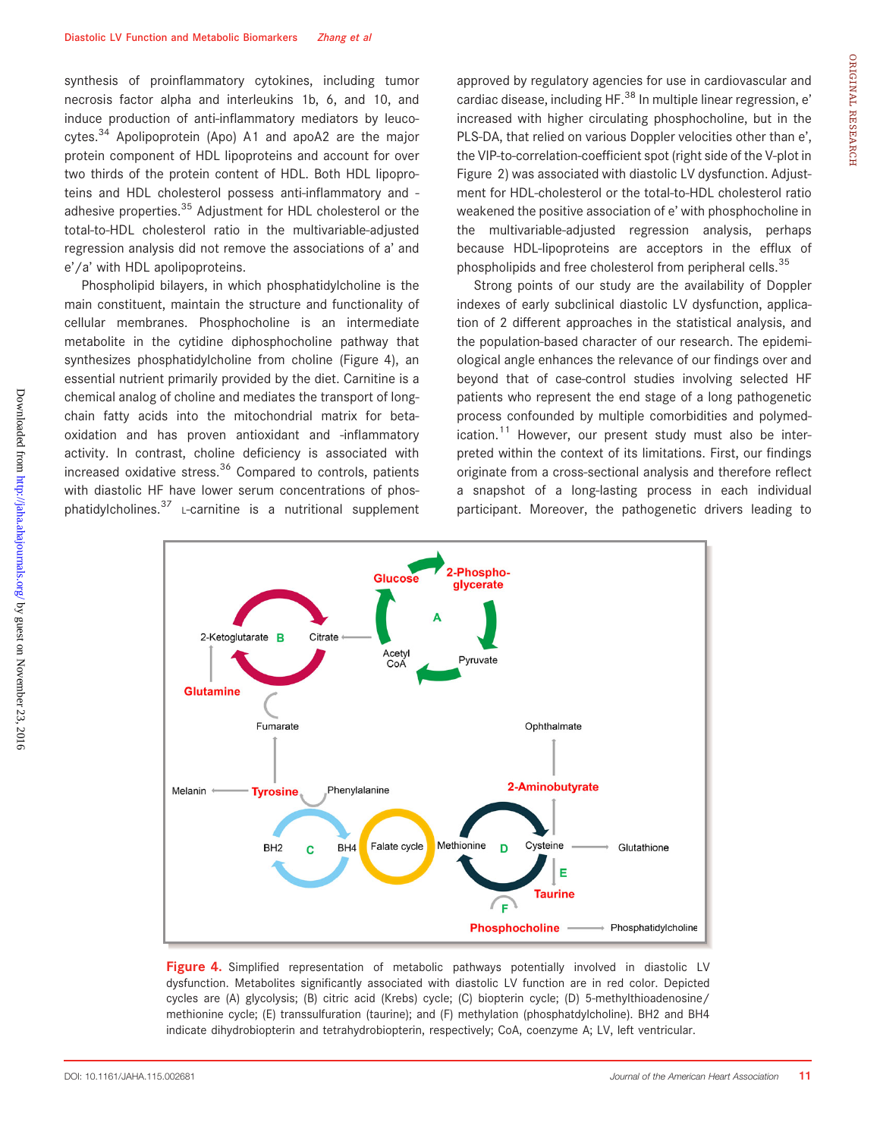synthesis of proinflammatory cytokines, including tumor necrosis factor alpha and interleukins 1b, 6, and 10, and induce production of anti-inflammatory mediators by leucocytes. $34$  Apolipoprotein (Apo) A1 and apoA2 are the major protein component of HDL lipoproteins and account for over two thirds of the protein content of HDL. Both HDL lipoproteins and HDL cholesterol possess anti-inflammatory and adhesive properties.<sup>35</sup> Adjustment for HDL cholesterol or the total-to-HDL cholesterol ratio in the multivariable-adjusted regression analysis did not remove the associations of a' and e'/a' with HDL apolipoproteins.

Phospholipid bilayers, in which phosphatidylcholine is the main constituent, maintain the structure and functionality of cellular membranes. Phosphocholine is an intermediate metabolite in the cytidine diphosphocholine pathway that synthesizes phosphatidylcholine from choline (Figure 4), an essential nutrient primarily provided by the diet. Carnitine is a chemical analog of choline and mediates the transport of longchain fatty acids into the mitochondrial matrix for betaoxidation and has proven antioxidant and -inflammatory activity. In contrast, choline deficiency is associated with increased oxidative stress.<sup>36</sup> Compared to controls, patients with diastolic HF have lower serum concentrations of phosphatidylcholines.<sup>37</sup> L-carnitine is a nutritional supplement

approved by regulatory agencies for use in cardiovascular and cardiac disease, including HF.<sup>38</sup> In multiple linear regression, e' increased with higher circulating phosphocholine, but in the PLS-DA, that relied on various Doppler velocities other than e', the VIP-to-correlation-coefficient spot (right side of the V-plot in Figure 2) was associated with diastolic LV dysfunction. Adjustment for HDL-cholesterol or the total-to-HDL cholesterol ratio weakened the positive association of e' with phosphocholine in the multivariable-adjusted regression analysis, perhaps because HDL-lipoproteins are acceptors in the efflux of phospholipids and free cholesterol from peripheral cells.<sup>35</sup>

Strong points of our study are the availability of Doppler indexes of early subclinical diastolic LV dysfunction, application of 2 different approaches in the statistical analysis, and the population-based character of our research. The epidemiological angle enhances the relevance of our findings over and beyond that of case-control studies involving selected HF patients who represent the end stage of a long pathogenetic process confounded by multiple comorbidities and polymedication. $11$  However, our present study must also be interpreted within the context of its limitations. First, our findings originate from a cross-sectional analysis and therefore reflect a snapshot of a long-lasting process in each individual participant. Moreover, the pathogenetic drivers leading to



**Figure 4.** Simplified representation of metabolic pathways potentially involved in diastolic LV dysfunction. Metabolites significantly associated with diastolic LV function are in red color. Depicted cycles are (A) glycolysis; (B) citric acid (Krebs) cycle; (C) biopterin cycle; (D) 5-methylthioadenosine/ methionine cycle; (E) transsulfuration (taurine); and (F) methylation (phosphatdylcholine). BH2 and BH4 indicate dihydrobiopterin and tetrahydrobiopterin, respectively; CoA, coenzyme A; LV, left ventricular.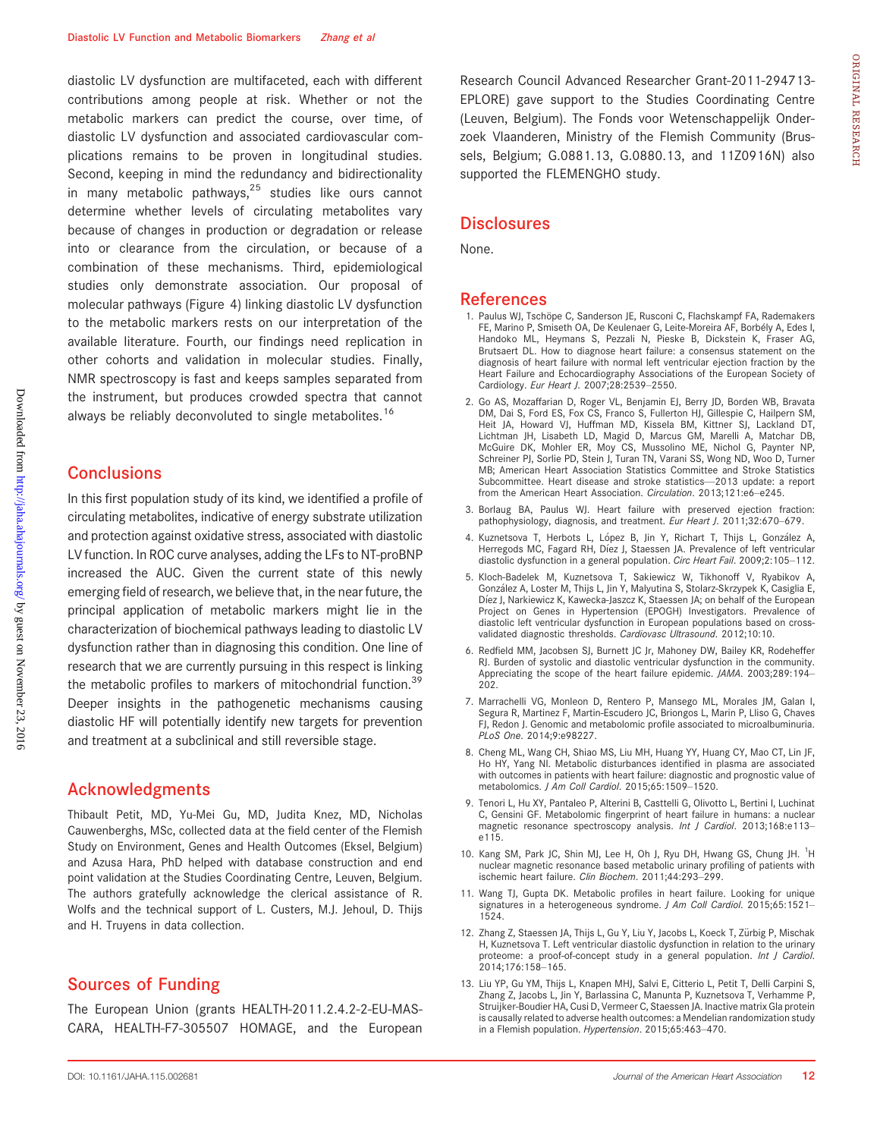diastolic LV dysfunction are multifaceted, each with different contributions among people at risk. Whether or not the metabolic markers can predict the course, over time, of diastolic LV dysfunction and associated cardiovascular complications remains to be proven in longitudinal studies. Second, keeping in mind the redundancy and bidirectionality in many metabolic pathways, $25$  studies like ours cannot determine whether levels of circulating metabolites vary because of changes in production or degradation or release into or clearance from the circulation, or because of a combination of these mechanisms. Third, epidemiological studies only demonstrate association. Our proposal of molecular pathways (Figure 4) linking diastolic LV dysfunction to the metabolic markers rests on our interpretation of the available literature. Fourth, our findings need replication in other cohorts and validation in molecular studies. Finally, NMR spectroscopy is fast and keeps samples separated from the instrument, but produces crowded spectra that cannot always be reliably deconvoluted to single metabolites.<sup>16</sup>

## **Conclusions**

In this first population study of its kind, we identified a profile of circulating metabolites, indicative of energy substrate utilization and protection against oxidative stress, associated with diastolic LV function. In ROC curve analyses, adding the LFs to NT-proBNP increased the AUC. Given the current state of this newly emerging field of research, we believe that, in the near future, the principal application of metabolic markers might lie in the characterization of biochemical pathways leading to diastolic LV dysfunction rather than in diagnosing this condition. One line of research that we are currently pursuing in this respect is linking the metabolic profiles to markers of mitochondrial function.<sup>39</sup> Deeper insights in the pathogenetic mechanisms causing diastolic HF will potentially identify new targets for prevention and treatment at a subclinical and still reversible stage.

## Acknowledgments

Thibault Petit, MD, Yu-Mei Gu, MD, Judita Knez, MD, Nicholas Cauwenberghs, MSc, collected data at the field center of the Flemish Study on Environment, Genes and Health Outcomes (Eksel, Belgium) and Azusa Hara, PhD helped with database construction and end point validation at the Studies Coordinating Centre, Leuven, Belgium. The authors gratefully acknowledge the clerical assistance of R. Wolfs and the technical support of L. Custers, M.J. Jehoul, D. Thijs and H. Truyens in data collection.

## Sources of Funding

The European Union (grants HEALTH-2011.2.4.2-2-EU-MAS-CARA, HEALTH-F7-305507 HOMAGE, and the European Research Council Advanced Researcher Grant-2011-294713- EPLORE) gave support to the Studies Coordinating Centre (Leuven, Belgium). The Fonds voor Wetenschappelijk Onderzoek Vlaanderen, Ministry of the Flemish Community (Brussels, Belgium; G.0881.13, G.0880.13, and 11Z0916N) also supported the FLEMENGHO study.

## **Disclosures**

None.

#### References

- 1. Paulus WJ, Tschöpe C, Sanderson JE, Rusconi C, Flachskampf FA, Rademakers FE, Marino P, Smiseth OA, De Keulenaer G, Leite-Moreira AF, Borbely A, Edes I, Handoko ML, Heymans S, Pezzali N, Pieske B, Dickstein K, Fraser AG, Brutsaert DL. How to diagnose heart failure: a consensus statement on the diagnosis of heart failure with normal left ventricular ejection fraction by the Heart Failure and Echocardiography Associations of the European Society of Cardiology. Eur Heart J. 2007;28:2539–2550.
- 2. Go AS, Mozaffarian D, Roger VL, Benjamin EJ, Berry JD, Borden WB, Bravata DM, Dai S, Ford ES, Fox CS, Franco S, Fullerton HJ, Gillespie C, Hailpern SM, Heit JA, Howard VJ, Huffman MD, Kissela BM, Kittner SJ, Lackland DT, Lichtman JH, Lisabeth LD, Magid D, Marcus GM, Marelli A, Matchar DB, McGuire DK, Mohler ER, Moy CS, Mussolino ME, Nichol G, Paynter NP, Schreiner PJ, Sorlie PD, Stein J, Turan TN, Varani SS, Wong ND, Woo D, Turner MB; American Heart Association Statistics Committee and Stroke Statistics Subcommittee. Heart disease and stroke statistics—2013 update: a report from the American Heart Association. Circulation. 2013;121:e6–e245.
- 3. Borlaug BA, Paulus WJ. Heart failure with preserved ejection fraction: pathophysiology, diagnosis, and treatment. Eur Heart J. 2011;32:670-679.
- 4. Kuznetsova T, Herbots L, López B, Jin Y, Richart T, Thijs L, González A, Herregods MC, Fagard RH, Díez J, Staessen JA. Prevalence of left ventricular diastolic dysfunction in a general population. Circ Heart Fail. 2009;2:105-112.
- 5. Kloch-Badelek M, Kuznetsova T, Sakiewicz W, Tikhonoff V, Ryabikov A, Gonzalez A, Loster M, Thijs L, Jin Y, Malyutina S, Stolarz-Skrzypek K, Casiglia E, Diez J, Narkiewicz K, Kawecka-Jaszcz K, Staessen JA; on behalf of the European Project on Genes in Hypertension (EPOGH) Investigators. Prevalence of diastolic left ventricular dysfunction in European populations based on crossvalidated diagnostic thresholds. Cardiovasc Ultrasound. 2012;10:10.
- 6. Redfield MM, Jacobsen SJ, Burnett JC Jr, Mahoney DW, Bailey KR, Rodeheffer RJ. Burden of systolic and diastolic ventricular dysfunction in the community. Appreciating the scope of the heart failure epidemic. JAMA. 2003;289:194– 202.
- 7. Marrachelli VG, Monleon D, Rentero P, Mansego ML, Morales JM, Galan I, Segura R, Martinez F, Martin-Escudero JC, Briongos L, Marin P, Lliso G, Chaves FJ, Redon J. Genomic and metabolomic profile associated to microalbuminuria. PLoS One. 2014;9:e98227.
- 8. Cheng ML, Wang CH, Shiao MS, Liu MH, Huang YY, Huang CY, Mao CT, Lin JF, Ho HY, Yang NI. Metabolic disturbances identified in plasma are associated with outcomes in patients with heart failure: diagnostic and prognostic value of metabolomics. J Am Coll Cardiol. 2015;65:1509–1520.
- 9. Tenori L, Hu XY, Pantaleo P, Alterini B, Casttelli G, Olivotto L, Bertini I, Luchinat C, Gensini GF. Metabolomic fingerprint of heart failure in humans: a nuclear magnetic resonance spectroscopy analysis. Int J Cardiol. 2013;168:e113e115.
- 10. Kang SM, Park JC, Shin MJ, Lee H, Oh J, Ryu DH, Hwang GS, Chung JH. <sup>1</sup>H nuclear magnetic resonance based metabolic urinary profiling of patients with ischemic heart failure. Clin Biochem. 2011;44:293–299.
- 11. Wang TJ, Gupta DK. Metabolic profiles in heart failure. Looking for unique signatures in a heterogeneous syndrome. J Am Coll Cardiol. 2015;65:1521-<br>1524.
- 12. Zhang Z, Staessen JA, Thijs L, Gu Y, Liu Y, Jacobs L, Koeck T, Zürbig P, Mischak H, Kuznetsova T. Left ventricular diastolic dysfunction in relation to the urinary proteome: a proof-of-concept study in a general population. Int J Cardiol. 2014;176:158–165.
- 13. Liu YP, Gu YM, Thijs L, Knapen MHJ, Salvi E, Citterio L, Petit T, Delli Carpini S, Zhang Z, Jacobs L, Jin Y, Barlassina C, Manunta P, Kuznetsova T, Verhamme P, Struijker-Boudier HA, Cusi D, Vermeer C, Staessen JA. Inactive matrix Gla protein is causally related to adverse health outcomes: a Mendelian randomization study in a Flemish population. Hypertension. 2015;65:463–470.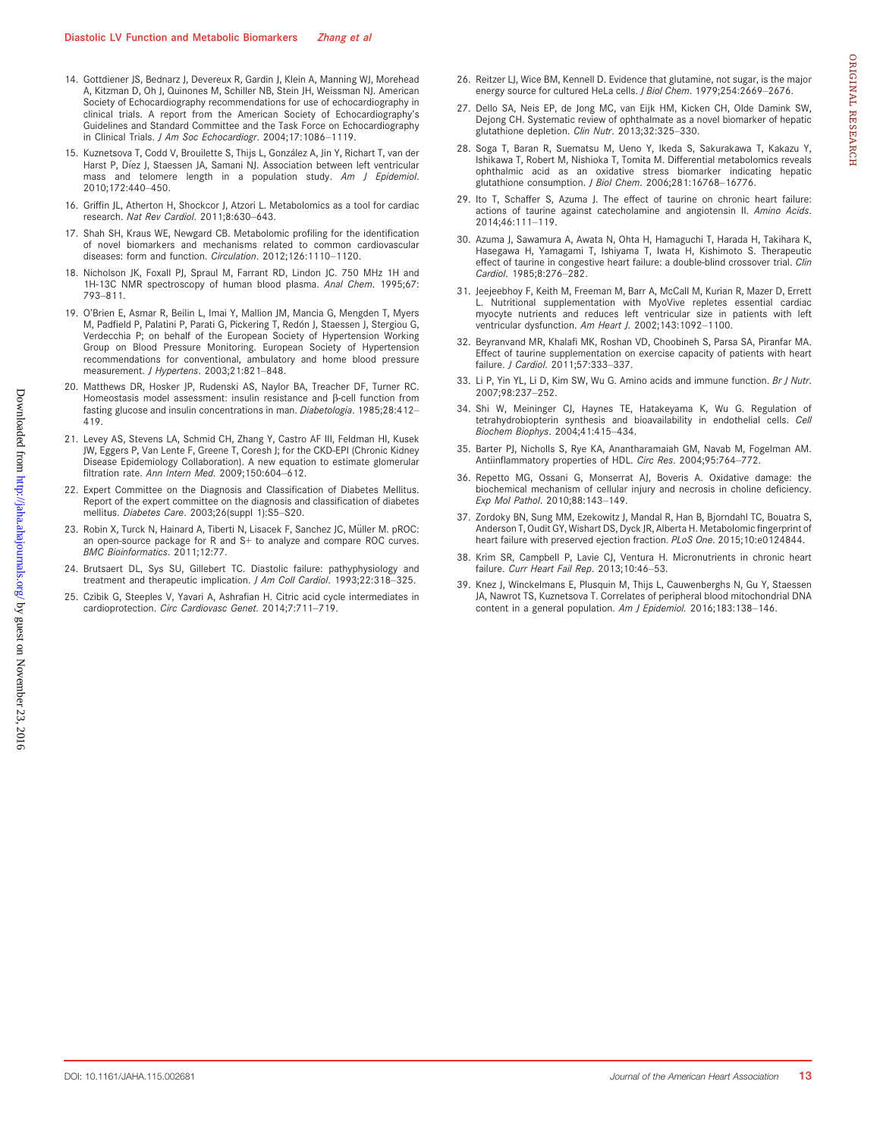- 14. Gottdiener JS, Bednarz J, Devereux R, Gardin J, Klein A, Manning WJ, Morehead A, Kitzman D, Oh J, Quinones M, Schiller NB, Stein JH, Weissman NJ. American Society of Echocardiography recommendations for use of echocardiography in clinical trials. A report from the American Society of Echocardiography's Guidelines and Standard Committee and the Task Force on Echocardiography in Clinical Trials. J Am Soc Echocardiogr. 2004;17:1086-1119.
- 15. Kuznetsova T, Codd V, Brouilette S, Thijs L, González A, Jin Y, Richart T, van der Harst P, Díez J, Staessen JA, Samani NJ. Association between left ventricular mass and telomere length in a population study. Am J Epidemiol. 2010;172:440–450.
- 16. Griffin JL, Atherton H, Shockcor J, Atzori L. Metabolomics as a tool for cardiac research. Nat Rev Cardiol. 2011;8:630–643.
- 17. Shah SH, Kraus WE, Newgard CB. Metabolomic profiling for the identification of novel biomarkers and mechanisms related to common cardiovascular diseases: form and function. Circulation. 2012;126:1110–1120.
- 18. Nicholson JK, Foxall PJ, Spraul M, Farrant RD, Lindon JC. 750 MHz 1H and 1H-13C NMR spectroscopy of human blood plasma. Anal Chem. 1995;67: 793–811.
- 19. O'Brien E, Asmar R, Beilin L, Imai Y, Mallion JM, Mancia G, Mengden T, Myers M, Padfield P, Palatini P, Parati G, Pickering T, Redón J, Staessen J, Stergiou G, Verdecchia P; on behalf of the European Society of Hypertension Working Group on Blood Pressure Monitoring. European Society of Hypertension recommendations for conventional, ambulatory and home blood pressure measurement. J Hypertens. 2003;21:821–848.
- 20. Matthews DR, Hosker JP, Rudenski AS, Naylor BA, Treacher DF, Turner RC. Homeostasis model assessment: insulin resistance and  $\beta$ -cell function from fasting glucose and insulin concentrations in man. Diabetologia. 1985;28:412-419.
- 21. Levey AS, Stevens LA, Schmid CH, Zhang Y, Castro AF III, Feldman HI, Kusek JW, Eggers P, Van Lente F, Greene T, Coresh J; for the CKD-EPI (Chronic Kidney Disease Epidemiology Collaboration). A new equation to estimate glomerular filtration rate. Ann Intern Med. 2009;150:604–612.
- 22. Expert Committee on the Diagnosis and Classification of Diabetes Mellitus. Report of the expert committee on the diagnosis and classification of diabetes mellitus. Diabetes Care. 2003;26(suppl 1):S5–S20.
- 23. Robin X, Turck N, Hainard A, Tiberti N, Lisacek F, Sanchez JC, Müller M. pROC: an open-source package for R and S+ to analyze and compare ROC curves. BMC Bioinformatics. 2011;12:77.
- 24. Brutsaert DL, Sys SU, Gillebert TC. Diastolic failure: pathyphysiology and treatment and therapeutic implication. J Am Coll Cardiol. 1993;22:318–325.
- 25. Czibik G, Steeples V, Yavari A, Ashrafian H. Citric acid cycle intermediates in cardioprotection. Circ Cardiovasc Genet. 2014;7:711-719.
- 26. Reitzer LJ, Wice BM, Kennell D. Evidence that glutamine, not sugar, is the major energy source for cultured HeLa cells. J Biol Chem. 1979;254:2669-2676.
- 27. Dello SA, Neis EP, de Jong MC, van Eijk HM, Kicken CH, Olde Damink SW, Dejong CH. Systematic review of ophthalmate as a novel biomarker of hepatic glutathione depletion. Clin Nutr. 2013;32:325–330.
- 28. Soga T, Baran R, Suematsu M, Ueno Y, Ikeda S, Sakurakawa T, Kakazu Y, Ishikawa T, Robert M, Nishioka T, Tomita M. Differential metabolomics reveals ophthalmic acid as an oxidative stress biomarker indicating hepatic glutathione consumption. J Biol Chem. 2006;281:16768–16776.
- 29. Ito T, Schaffer S, Azuma J. The effect of taurine on chronic heart failure: actions of taurine against catecholamine and angiotensin II. Amino Acids. 2014;46:111–119.
- 30. Azuma J, Sawamura A, Awata N, Ohta H, Hamaguchi T, Harada H, Takihara K, Hasegawa H, Yamagami T, Ishiyama T, Iwata H, Kishimoto S. Therapeutic effect of taurine in congestive heart failure: a double-blind crossover trial. Clin Cardiol. 1985;8:276–282.
- 31. Jeejeebhoy F, Keith M, Freeman M, Barr A, McCall M, Kurian R, Mazer D, Errett L. Nutritional supplementation with MyoVive repletes essential cardiac myocyte nutrients and reduces left ventricular size in patients with left ventricular dysfunction. Am Heart J. 2002;143:1092-1100.
- 32. Beyranvand MR, Khalafi MK, Roshan VD, Choobineh S, Parsa SA, Piranfar MA. Effect of taurine supplementation on exercise capacity of patients with heart failure. J Cardiol. 2011;57:333–337.
- 33. Li P, Yin YL, Li D, Kim SW, Wu G. Amino acids and immune function. Br J Nutr. 2007;98:237–252.
- 34. Shi W, Meininger CJ, Haynes TE, Hatakeyama K, Wu G. Regulation of tetrahydrobiopterin synthesis and bioavailability in endothelial cells. Cell Biochem Biophys. 2004;41:415–434.
- 35. Barter PJ, Nicholls S, Rye KA, Anantharamaiah GM, Navab M, Fogelman AM. Antiinflammatory properties of HDL. Circ Res. 2004;95:764–772.
- 36. Repetto MG, Ossani G, Monserrat AJ, Boveris A. Oxidative damage: the biochemical mechanism of cellular injury and necrosis in choline deficiency. Exp Mol Pathol. 2010;88:143–149.
- 37. Zordoky BN, Sung MM, Ezekowitz J, Mandal R, Han B, Bjorndahl TC, Bouatra S, Anderson T, Oudit GY, Wishart DS, Dyck JR, Alberta H. Metabolomic fingerprint of heart failure with preserved ejection fraction. PLoS One. 2015;10:e0124844.
- 38. Krim SR, Campbell P, Lavie CJ, Ventura H. Micronutrients in chronic heart failure. Curr Heart Fail Rep. 2013;10:46-53.
- 39. Knez J, Winckelmans E, Plusquin M, Thijs L, Cauwenberghs N, Gu Y, Staessen JA, Nawrot TS, Kuznetsova T. Correlates of peripheral blood mitochondrial DNA content in a general population. Am J Epidemiol. 2016;183:138–146.